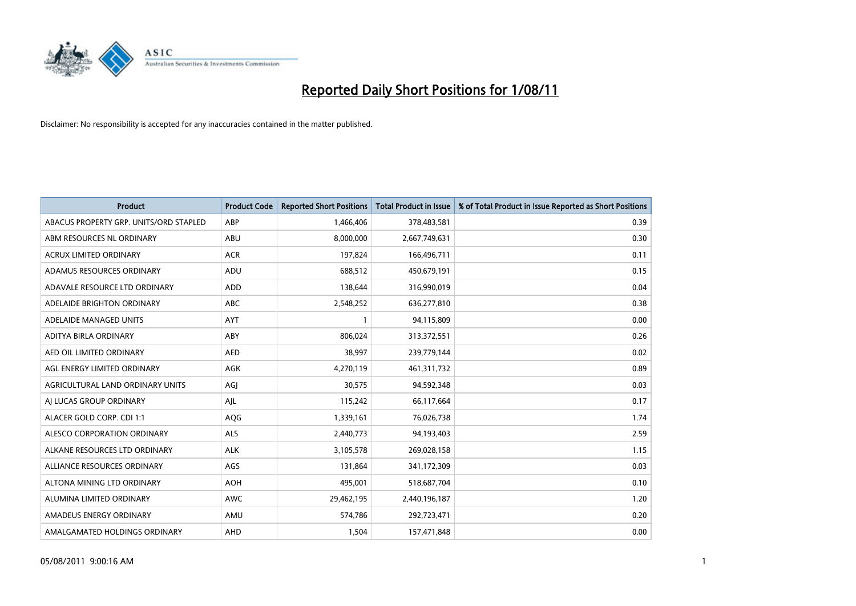

| <b>Product</b>                         | <b>Product Code</b> | <b>Reported Short Positions</b> | <b>Total Product in Issue</b> | % of Total Product in Issue Reported as Short Positions |
|----------------------------------------|---------------------|---------------------------------|-------------------------------|---------------------------------------------------------|
| ABACUS PROPERTY GRP. UNITS/ORD STAPLED | ABP                 | 1,466,406                       | 378,483,581                   | 0.39                                                    |
| ABM RESOURCES NL ORDINARY              | ABU                 | 8,000,000                       | 2,667,749,631                 | 0.30                                                    |
| <b>ACRUX LIMITED ORDINARY</b>          | <b>ACR</b>          | 197,824                         | 166,496,711                   | 0.11                                                    |
| ADAMUS RESOURCES ORDINARY              | ADU                 | 688,512                         | 450,679,191                   | 0.15                                                    |
| ADAVALE RESOURCE LTD ORDINARY          | <b>ADD</b>          | 138,644                         | 316,990,019                   | 0.04                                                    |
| ADELAIDE BRIGHTON ORDINARY             | <b>ABC</b>          | 2,548,252                       | 636,277,810                   | 0.38                                                    |
| ADELAIDE MANAGED UNITS                 | <b>AYT</b>          |                                 | 94,115,809                    | 0.00                                                    |
| ADITYA BIRLA ORDINARY                  | ABY                 | 806,024                         | 313,372,551                   | 0.26                                                    |
| AED OIL LIMITED ORDINARY               | <b>AED</b>          | 38,997                          | 239,779,144                   | 0.02                                                    |
| AGL ENERGY LIMITED ORDINARY            | <b>AGK</b>          | 4,270,119                       | 461,311,732                   | 0.89                                                    |
| AGRICULTURAL LAND ORDINARY UNITS       | AGJ                 | 30,575                          | 94,592,348                    | 0.03                                                    |
| AI LUCAS GROUP ORDINARY                | AJL                 | 115,242                         | 66,117,664                    | 0.17                                                    |
| ALACER GOLD CORP. CDI 1:1              | AQG                 | 1,339,161                       | 76,026,738                    | 1.74                                                    |
| ALESCO CORPORATION ORDINARY            | <b>ALS</b>          | 2,440,773                       | 94,193,403                    | 2.59                                                    |
| ALKANE RESOURCES LTD ORDINARY          | <b>ALK</b>          | 3,105,578                       | 269,028,158                   | 1.15                                                    |
| ALLIANCE RESOURCES ORDINARY            | AGS                 | 131,864                         | 341,172,309                   | 0.03                                                    |
| ALTONA MINING LTD ORDINARY             | <b>AOH</b>          | 495,001                         | 518,687,704                   | 0.10                                                    |
| ALUMINA LIMITED ORDINARY               | <b>AWC</b>          | 29,462,195                      | 2,440,196,187                 | 1.20                                                    |
| AMADEUS ENERGY ORDINARY                | AMU                 | 574,786                         | 292,723,471                   | 0.20                                                    |
| AMALGAMATED HOLDINGS ORDINARY          | AHD                 | 1,504                           | 157,471,848                   | 0.00                                                    |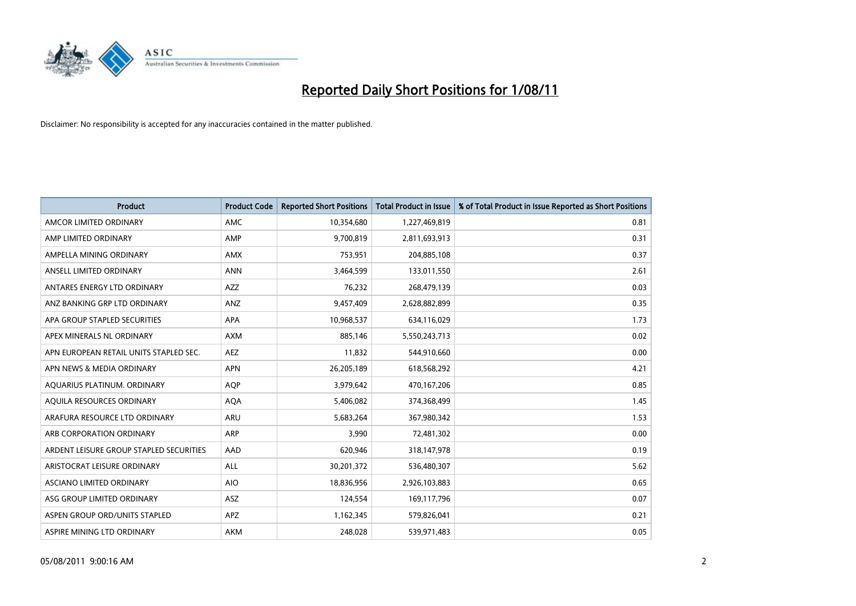

| <b>Product</b>                          | <b>Product Code</b> | <b>Reported Short Positions</b> | <b>Total Product in Issue</b> | % of Total Product in Issue Reported as Short Positions |
|-----------------------------------------|---------------------|---------------------------------|-------------------------------|---------------------------------------------------------|
| AMCOR LIMITED ORDINARY                  | <b>AMC</b>          | 10,354,680                      | 1,227,469,819                 | 0.81                                                    |
| AMP LIMITED ORDINARY                    | AMP                 | 9,700,819                       | 2,811,693,913                 | 0.31                                                    |
| AMPELLA MINING ORDINARY                 | <b>AMX</b>          | 753,951                         | 204,885,108                   | 0.37                                                    |
| ANSELL LIMITED ORDINARY                 | <b>ANN</b>          | 3,464,599                       | 133,011,550                   | 2.61                                                    |
| ANTARES ENERGY LTD ORDINARY             | <b>AZZ</b>          | 76,232                          | 268,479,139                   | 0.03                                                    |
| ANZ BANKING GRP LTD ORDINARY            | ANZ                 | 9,457,409                       | 2,628,882,899                 | 0.35                                                    |
| APA GROUP STAPLED SECURITIES            | <b>APA</b>          | 10,968,537                      | 634,116,029                   | 1.73                                                    |
| APEX MINERALS NL ORDINARY               | <b>AXM</b>          | 885,146                         | 5,550,243,713                 | 0.02                                                    |
| APN EUROPEAN RETAIL UNITS STAPLED SEC.  | <b>AEZ</b>          | 11,832                          | 544,910,660                   | 0.00                                                    |
| APN NEWS & MEDIA ORDINARY               | <b>APN</b>          | 26,205,189                      | 618,568,292                   | 4.21                                                    |
| AQUARIUS PLATINUM. ORDINARY             | <b>AQP</b>          | 3,979,642                       | 470,167,206                   | 0.85                                                    |
| AQUILA RESOURCES ORDINARY               | <b>AQA</b>          | 5,406,082                       | 374,368,499                   | 1.45                                                    |
| ARAFURA RESOURCE LTD ORDINARY           | <b>ARU</b>          | 5,683,264                       | 367,980,342                   | 1.53                                                    |
| ARB CORPORATION ORDINARY                | <b>ARP</b>          | 3.990                           | 72,481,302                    | 0.00                                                    |
| ARDENT LEISURE GROUP STAPLED SECURITIES | AAD                 | 620,946                         | 318,147,978                   | 0.19                                                    |
| ARISTOCRAT LEISURE ORDINARY             | <b>ALL</b>          | 30,201,372                      | 536,480,307                   | 5.62                                                    |
| ASCIANO LIMITED ORDINARY                | <b>AIO</b>          | 18,836,956                      | 2,926,103,883                 | 0.65                                                    |
| ASG GROUP LIMITED ORDINARY              | <b>ASZ</b>          | 124,554                         | 169,117,796                   | 0.07                                                    |
| ASPEN GROUP ORD/UNITS STAPLED           | <b>APZ</b>          | 1,162,345                       | 579,826,041                   | 0.21                                                    |
| ASPIRE MINING LTD ORDINARY              | <b>AKM</b>          | 248.028                         | 539,971,483                   | 0.05                                                    |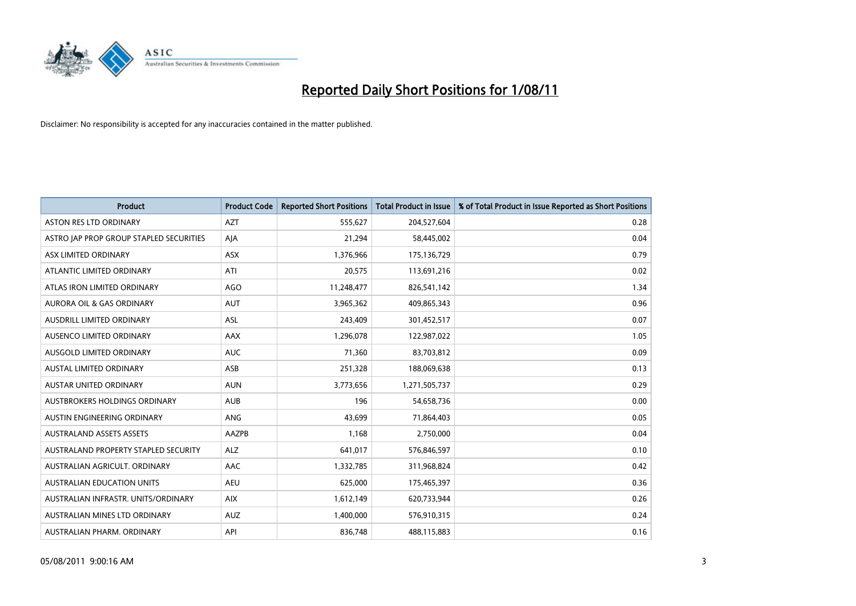

| <b>Product</b>                          | <b>Product Code</b> | <b>Reported Short Positions</b> | Total Product in Issue | % of Total Product in Issue Reported as Short Positions |
|-----------------------------------------|---------------------|---------------------------------|------------------------|---------------------------------------------------------|
| <b>ASTON RES LTD ORDINARY</b>           | <b>AZT</b>          | 555,627                         | 204,527,604            | 0.28                                                    |
| ASTRO JAP PROP GROUP STAPLED SECURITIES | AJA                 | 21,294                          | 58,445,002             | 0.04                                                    |
| ASX LIMITED ORDINARY                    | <b>ASX</b>          | 1,376,966                       | 175,136,729            | 0.79                                                    |
| ATLANTIC LIMITED ORDINARY               | ATI                 | 20,575                          | 113,691,216            | 0.02                                                    |
| ATLAS IRON LIMITED ORDINARY             | <b>AGO</b>          | 11,248,477                      | 826,541,142            | 1.34                                                    |
| <b>AURORA OIL &amp; GAS ORDINARY</b>    | <b>AUT</b>          | 3,965,362                       | 409,865,343            | 0.96                                                    |
| AUSDRILL LIMITED ORDINARY               | <b>ASL</b>          | 243,409                         | 301,452,517            | 0.07                                                    |
| AUSENCO LIMITED ORDINARY                | <b>AAX</b>          | 1,296,078                       | 122,987,022            | 1.05                                                    |
| AUSGOLD LIMITED ORDINARY                | <b>AUC</b>          | 71,360                          | 83,703,812             | 0.09                                                    |
| <b>AUSTAL LIMITED ORDINARY</b>          | ASB                 | 251,328                         | 188,069,638            | 0.13                                                    |
| AUSTAR UNITED ORDINARY                  | <b>AUN</b>          | 3,773,656                       | 1,271,505,737          | 0.29                                                    |
| <b>AUSTBROKERS HOLDINGS ORDINARY</b>    | <b>AUB</b>          | 196                             | 54,658,736             | 0.00                                                    |
| AUSTIN ENGINEERING ORDINARY             | ANG                 | 43,699                          | 71,864,403             | 0.05                                                    |
| <b>AUSTRALAND ASSETS ASSETS</b>         | AAZPB               | 1,168                           | 2,750,000              | 0.04                                                    |
| AUSTRALAND PROPERTY STAPLED SECURITY    | <b>ALZ</b>          | 641,017                         | 576,846,597            | 0.10                                                    |
| AUSTRALIAN AGRICULT. ORDINARY           | AAC                 | 1,332,785                       | 311,968,824            | 0.42                                                    |
| AUSTRALIAN EDUCATION UNITS              | <b>AEU</b>          | 625,000                         | 175,465,397            | 0.36                                                    |
| AUSTRALIAN INFRASTR. UNITS/ORDINARY     | <b>AIX</b>          | 1,612,149                       | 620,733,944            | 0.26                                                    |
| AUSTRALIAN MINES LTD ORDINARY           | <b>AUZ</b>          | 1,400,000                       | 576,910,315            | 0.24                                                    |
| AUSTRALIAN PHARM. ORDINARY              | API                 | 836,748                         | 488,115,883            | 0.16                                                    |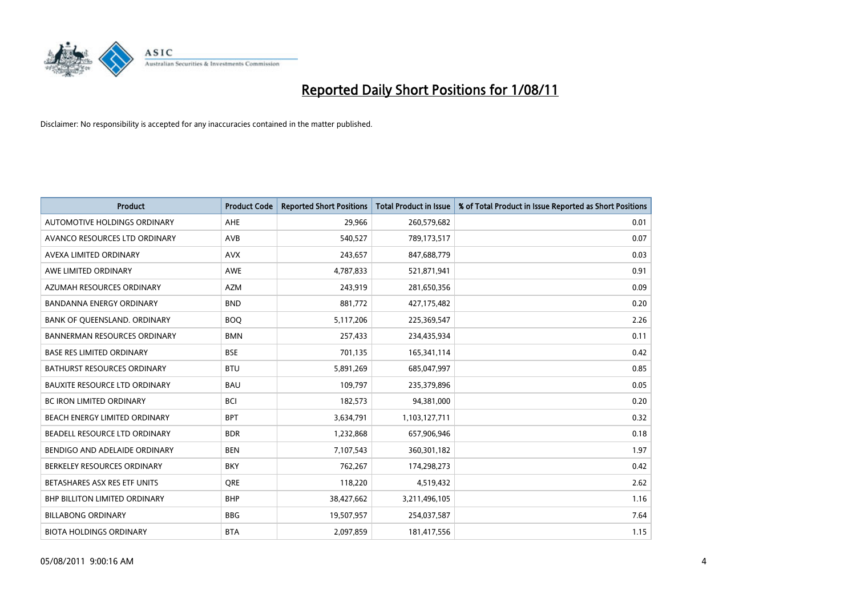

| <b>Product</b>                       | <b>Product Code</b> | <b>Reported Short Positions</b> | <b>Total Product in Issue</b> | % of Total Product in Issue Reported as Short Positions |
|--------------------------------------|---------------------|---------------------------------|-------------------------------|---------------------------------------------------------|
| <b>AUTOMOTIVE HOLDINGS ORDINARY</b>  | AHE                 | 29,966                          | 260,579,682                   | 0.01                                                    |
| AVANCO RESOURCES LTD ORDINARY        | AVB                 | 540,527                         | 789,173,517                   | 0.07                                                    |
| AVEXA LIMITED ORDINARY               | <b>AVX</b>          | 243,657                         | 847,688,779                   | 0.03                                                    |
| AWE LIMITED ORDINARY                 | <b>AWE</b>          | 4,787,833                       | 521,871,941                   | 0.91                                                    |
| AZUMAH RESOURCES ORDINARY            | <b>AZM</b>          | 243,919                         | 281,650,356                   | 0.09                                                    |
| <b>BANDANNA ENERGY ORDINARY</b>      | <b>BND</b>          | 881,772                         | 427,175,482                   | 0.20                                                    |
| BANK OF QUEENSLAND. ORDINARY         | <b>BOO</b>          | 5,117,206                       | 225,369,547                   | 2.26                                                    |
| <b>BANNERMAN RESOURCES ORDINARY</b>  | <b>BMN</b>          | 257,433                         | 234,435,934                   | 0.11                                                    |
| <b>BASE RES LIMITED ORDINARY</b>     | <b>BSE</b>          | 701,135                         | 165,341,114                   | 0.42                                                    |
| <b>BATHURST RESOURCES ORDINARY</b>   | <b>BTU</b>          | 5,891,269                       | 685,047,997                   | 0.85                                                    |
| <b>BAUXITE RESOURCE LTD ORDINARY</b> | <b>BAU</b>          | 109,797                         | 235,379,896                   | 0.05                                                    |
| <b>BC IRON LIMITED ORDINARY</b>      | <b>BCI</b>          | 182,573                         | 94,381,000                    | 0.20                                                    |
| BEACH ENERGY LIMITED ORDINARY        | <b>BPT</b>          | 3,634,791                       | 1,103,127,711                 | 0.32                                                    |
| BEADELL RESOURCE LTD ORDINARY        | <b>BDR</b>          | 1,232,868                       | 657,906,946                   | 0.18                                                    |
| BENDIGO AND ADELAIDE ORDINARY        | <b>BEN</b>          | 7,107,543                       | 360,301,182                   | 1.97                                                    |
| BERKELEY RESOURCES ORDINARY          | <b>BKY</b>          | 762,267                         | 174,298,273                   | 0.42                                                    |
| BETASHARES ASX RES ETF UNITS         | <b>ORE</b>          | 118,220                         | 4,519,432                     | 2.62                                                    |
| BHP BILLITON LIMITED ORDINARY        | <b>BHP</b>          | 38,427,662                      | 3,211,496,105                 | 1.16                                                    |
| <b>BILLABONG ORDINARY</b>            | <b>BBG</b>          | 19,507,957                      | 254,037,587                   | 7.64                                                    |
| <b>BIOTA HOLDINGS ORDINARY</b>       | <b>BTA</b>          | 2.097.859                       | 181,417,556                   | 1.15                                                    |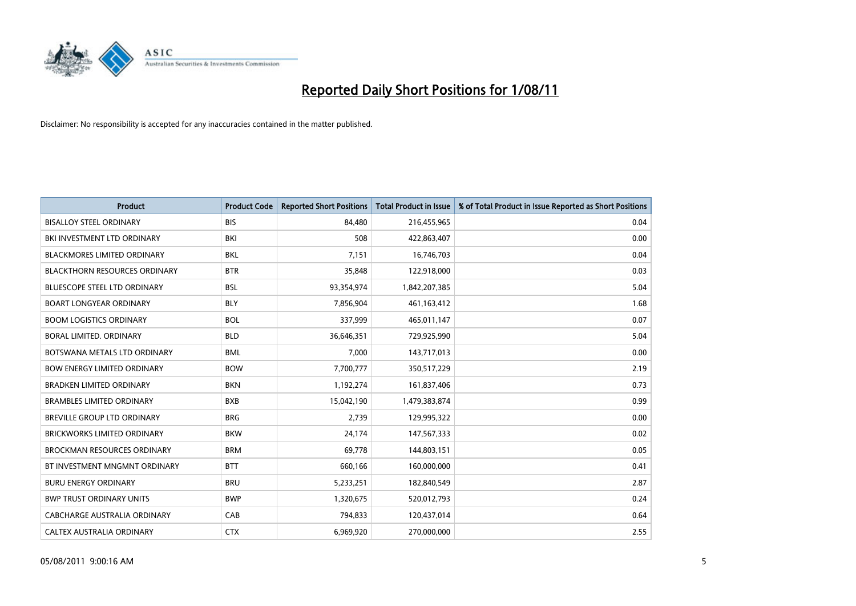

| <b>Product</b>                       | <b>Product Code</b> | <b>Reported Short Positions</b> | <b>Total Product in Issue</b> | % of Total Product in Issue Reported as Short Positions |
|--------------------------------------|---------------------|---------------------------------|-------------------------------|---------------------------------------------------------|
| <b>BISALLOY STEEL ORDINARY</b>       | <b>BIS</b>          | 84.480                          | 216,455,965                   | 0.04                                                    |
| BKI INVESTMENT LTD ORDINARY          | BKI                 | 508                             | 422,863,407                   | 0.00                                                    |
| <b>BLACKMORES LIMITED ORDINARY</b>   | <b>BKL</b>          | 7,151                           | 16,746,703                    | 0.04                                                    |
| <b>BLACKTHORN RESOURCES ORDINARY</b> | <b>BTR</b>          | 35,848                          | 122,918,000                   | 0.03                                                    |
| <b>BLUESCOPE STEEL LTD ORDINARY</b>  | <b>BSL</b>          | 93,354,974                      | 1,842,207,385                 | 5.04                                                    |
| <b>BOART LONGYEAR ORDINARY</b>       | <b>BLY</b>          | 7,856,904                       | 461,163,412                   | 1.68                                                    |
| <b>BOOM LOGISTICS ORDINARY</b>       | <b>BOL</b>          | 337,999                         | 465,011,147                   | 0.07                                                    |
| <b>BORAL LIMITED, ORDINARY</b>       | <b>BLD</b>          | 36,646,351                      | 729,925,990                   | 5.04                                                    |
| BOTSWANA METALS LTD ORDINARY         | <b>BML</b>          | 7,000                           | 143,717,013                   | 0.00                                                    |
| <b>BOW ENERGY LIMITED ORDINARY</b>   | <b>BOW</b>          | 7,700,777                       | 350,517,229                   | 2.19                                                    |
| <b>BRADKEN LIMITED ORDINARY</b>      | <b>BKN</b>          | 1,192,274                       | 161,837,406                   | 0.73                                                    |
| <b>BRAMBLES LIMITED ORDINARY</b>     | <b>BXB</b>          | 15,042,190                      | 1,479,383,874                 | 0.99                                                    |
| <b>BREVILLE GROUP LTD ORDINARY</b>   | <b>BRG</b>          | 2,739                           | 129,995,322                   | 0.00                                                    |
| <b>BRICKWORKS LIMITED ORDINARY</b>   | <b>BKW</b>          | 24,174                          | 147,567,333                   | 0.02                                                    |
| <b>BROCKMAN RESOURCES ORDINARY</b>   | <b>BRM</b>          | 69,778                          | 144,803,151                   | 0.05                                                    |
| BT INVESTMENT MNGMNT ORDINARY        | <b>BTT</b>          | 660,166                         | 160,000,000                   | 0.41                                                    |
| <b>BURU ENERGY ORDINARY</b>          | <b>BRU</b>          | 5,233,251                       | 182,840,549                   | 2.87                                                    |
| <b>BWP TRUST ORDINARY UNITS</b>      | <b>BWP</b>          | 1,320,675                       | 520,012,793                   | 0.24                                                    |
| CABCHARGE AUSTRALIA ORDINARY         | CAB                 | 794,833                         | 120,437,014                   | 0.64                                                    |
| CALTEX AUSTRALIA ORDINARY            | <b>CTX</b>          | 6,969,920                       | 270,000,000                   | 2.55                                                    |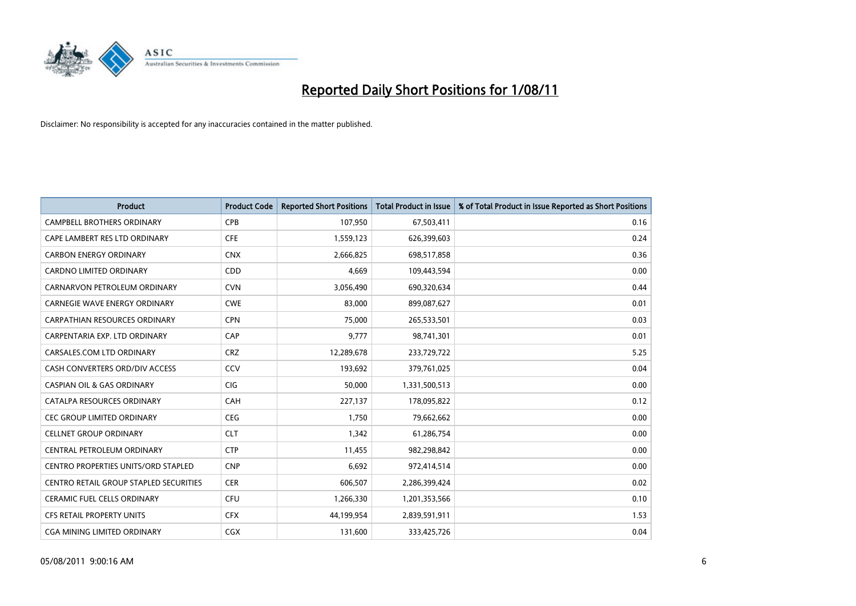

| <b>Product</b>                         | <b>Product Code</b> | <b>Reported Short Positions</b> | <b>Total Product in Issue</b> | % of Total Product in Issue Reported as Short Positions |
|----------------------------------------|---------------------|---------------------------------|-------------------------------|---------------------------------------------------------|
| <b>CAMPBELL BROTHERS ORDINARY</b>      | <b>CPB</b>          | 107,950                         | 67,503,411                    | 0.16                                                    |
| CAPE LAMBERT RES LTD ORDINARY          | <b>CFE</b>          | 1,559,123                       | 626,399,603                   | 0.24                                                    |
| <b>CARBON ENERGY ORDINARY</b>          | <b>CNX</b>          | 2,666,825                       | 698,517,858                   | 0.36                                                    |
| CARDNO LIMITED ORDINARY                | <b>CDD</b>          | 4,669                           | 109,443,594                   | 0.00                                                    |
| CARNARVON PETROLEUM ORDINARY           | <b>CVN</b>          | 3,056,490                       | 690,320,634                   | 0.44                                                    |
| <b>CARNEGIE WAVE ENERGY ORDINARY</b>   | <b>CWE</b>          | 83,000                          | 899,087,627                   | 0.01                                                    |
| CARPATHIAN RESOURCES ORDINARY          | <b>CPN</b>          | 75.000                          | 265,533,501                   | 0.03                                                    |
| CARPENTARIA EXP. LTD ORDINARY          | CAP                 | 9,777                           | 98,741,301                    | 0.01                                                    |
| CARSALES.COM LTD ORDINARY              | <b>CRZ</b>          | 12,289,678                      | 233,729,722                   | 5.25                                                    |
| CASH CONVERTERS ORD/DIV ACCESS         | CCV                 | 193.692                         | 379,761,025                   | 0.04                                                    |
| <b>CASPIAN OIL &amp; GAS ORDINARY</b>  | <b>CIG</b>          | 50,000                          | 1,331,500,513                 | 0.00                                                    |
| CATALPA RESOURCES ORDINARY             | CAH                 | 227,137                         | 178,095,822                   | 0.12                                                    |
| <b>CEC GROUP LIMITED ORDINARY</b>      | <b>CEG</b>          | 1.750                           | 79,662,662                    | 0.00                                                    |
| <b>CELLNET GROUP ORDINARY</b>          | <b>CLT</b>          | 1,342                           | 61,286,754                    | 0.00                                                    |
| CENTRAL PETROLEUM ORDINARY             | <b>CTP</b>          | 11,455                          | 982,298,842                   | 0.00                                                    |
| CENTRO PROPERTIES UNITS/ORD STAPLED    | <b>CNP</b>          | 6,692                           | 972,414,514                   | 0.00                                                    |
| CENTRO RETAIL GROUP STAPLED SECURITIES | <b>CER</b>          | 606,507                         | 2,286,399,424                 | 0.02                                                    |
| CERAMIC FUEL CELLS ORDINARY            | CFU                 | 1,266,330                       | 1,201,353,566                 | 0.10                                                    |
| <b>CFS RETAIL PROPERTY UNITS</b>       | <b>CFX</b>          | 44,199,954                      | 2,839,591,911                 | 1.53                                                    |
| <b>CGA MINING LIMITED ORDINARY</b>     | <b>CGX</b>          | 131,600                         | 333,425,726                   | 0.04                                                    |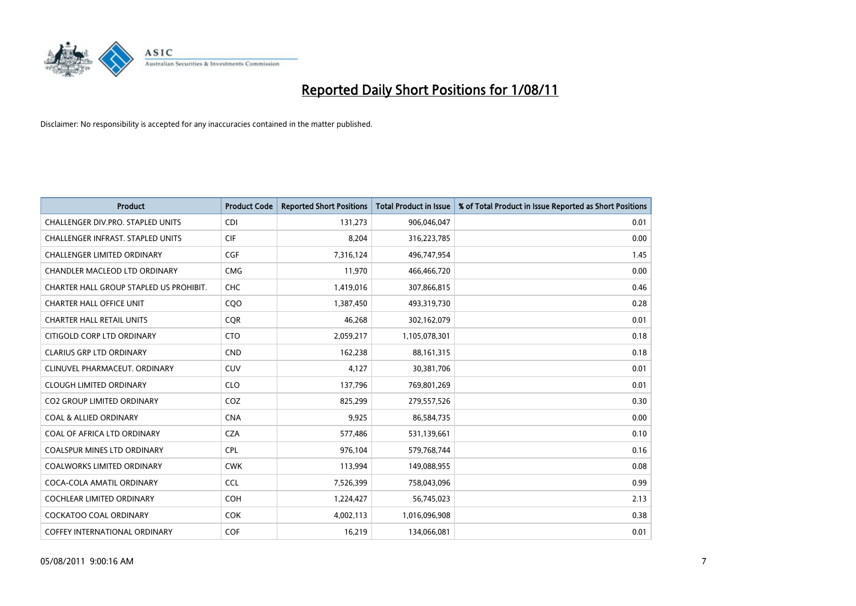

| <b>Product</b>                          | <b>Product Code</b> | <b>Reported Short Positions</b> | <b>Total Product in Issue</b> | % of Total Product in Issue Reported as Short Positions |
|-----------------------------------------|---------------------|---------------------------------|-------------------------------|---------------------------------------------------------|
| CHALLENGER DIV.PRO. STAPLED UNITS       | <b>CDI</b>          | 131,273                         | 906,046,047                   | 0.01                                                    |
| CHALLENGER INFRAST. STAPLED UNITS       | <b>CIF</b>          | 8,204                           | 316,223,785                   | 0.00                                                    |
| <b>CHALLENGER LIMITED ORDINARY</b>      | <b>CGF</b>          | 7,316,124                       | 496,747,954                   | 1.45                                                    |
| CHANDLER MACLEOD LTD ORDINARY           | <b>CMG</b>          | 11,970                          | 466,466,720                   | 0.00                                                    |
| CHARTER HALL GROUP STAPLED US PROHIBIT. | <b>CHC</b>          | 1,419,016                       | 307,866,815                   | 0.46                                                    |
| <b>CHARTER HALL OFFICE UNIT</b>         | CQO                 | 1,387,450                       | 493,319,730                   | 0.28                                                    |
| <b>CHARTER HALL RETAIL UNITS</b>        | <b>COR</b>          | 46,268                          | 302,162,079                   | 0.01                                                    |
| CITIGOLD CORP LTD ORDINARY              | <b>CTO</b>          | 2,059,217                       | 1,105,078,301                 | 0.18                                                    |
| <b>CLARIUS GRP LTD ORDINARY</b>         | <b>CND</b>          | 162,238                         | 88,161,315                    | 0.18                                                    |
| CLINUVEL PHARMACEUT, ORDINARY           | <b>CUV</b>          | 4,127                           | 30,381,706                    | 0.01                                                    |
| <b>CLOUGH LIMITED ORDINARY</b>          | <b>CLO</b>          | 137,796                         | 769,801,269                   | 0.01                                                    |
| <b>CO2 GROUP LIMITED ORDINARY</b>       | COZ                 | 825,299                         | 279,557,526                   | 0.30                                                    |
| <b>COAL &amp; ALLIED ORDINARY</b>       | <b>CNA</b>          | 9,925                           | 86,584,735                    | 0.00                                                    |
| COAL OF AFRICA LTD ORDINARY             | <b>CZA</b>          | 577,486                         | 531,139,661                   | 0.10                                                    |
| <b>COALSPUR MINES LTD ORDINARY</b>      | <b>CPL</b>          | 976,104                         | 579,768,744                   | 0.16                                                    |
| <b>COALWORKS LIMITED ORDINARY</b>       | <b>CWK</b>          | 113,994                         | 149,088,955                   | 0.08                                                    |
| COCA-COLA AMATIL ORDINARY               | <b>CCL</b>          | 7,526,399                       | 758,043,096                   | 0.99                                                    |
| COCHLEAR LIMITED ORDINARY               | <b>COH</b>          | 1,224,427                       | 56,745,023                    | 2.13                                                    |
| <b>COCKATOO COAL ORDINARY</b>           | <b>COK</b>          | 4,002,113                       | 1,016,096,908                 | 0.38                                                    |
| <b>COFFEY INTERNATIONAL ORDINARY</b>    | COF                 | 16,219                          | 134,066,081                   | 0.01                                                    |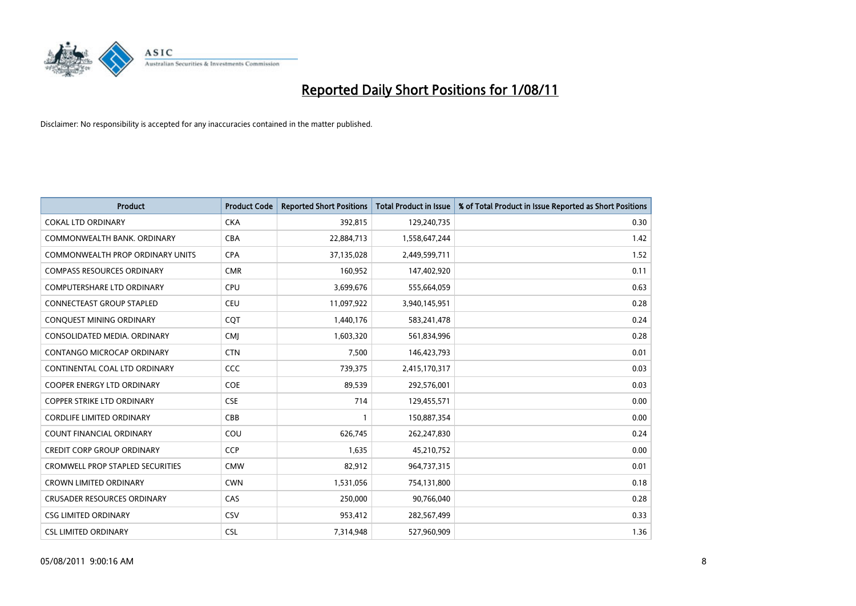

| <b>Product</b>                          | <b>Product Code</b> | <b>Reported Short Positions</b> | <b>Total Product in Issue</b> | % of Total Product in Issue Reported as Short Positions |
|-----------------------------------------|---------------------|---------------------------------|-------------------------------|---------------------------------------------------------|
| <b>COKAL LTD ORDINARY</b>               | <b>CKA</b>          | 392,815                         | 129,240,735                   | 0.30                                                    |
| COMMONWEALTH BANK, ORDINARY             | <b>CBA</b>          | 22,884,713                      | 1,558,647,244                 | 1.42                                                    |
| <b>COMMONWEALTH PROP ORDINARY UNITS</b> | <b>CPA</b>          | 37,135,028                      | 2,449,599,711                 | 1.52                                                    |
| <b>COMPASS RESOURCES ORDINARY</b>       | <b>CMR</b>          | 160,952                         | 147,402,920                   | 0.11                                                    |
| <b>COMPUTERSHARE LTD ORDINARY</b>       | CPU                 | 3,699,676                       | 555,664,059                   | 0.63                                                    |
| <b>CONNECTEAST GROUP STAPLED</b>        | CEU                 | 11,097,922                      | 3,940,145,951                 | 0.28                                                    |
| CONQUEST MINING ORDINARY                | CQT                 | 1,440,176                       | 583,241,478                   | 0.24                                                    |
| CONSOLIDATED MEDIA, ORDINARY            | <b>CMJ</b>          | 1,603,320                       | 561,834,996                   | 0.28                                                    |
| CONTANGO MICROCAP ORDINARY              | <b>CTN</b>          | 7,500                           | 146,423,793                   | 0.01                                                    |
| CONTINENTAL COAL LTD ORDINARY           | CCC                 | 739,375                         | 2,415,170,317                 | 0.03                                                    |
| <b>COOPER ENERGY LTD ORDINARY</b>       | <b>COE</b>          | 89,539                          | 292,576,001                   | 0.03                                                    |
| <b>COPPER STRIKE LTD ORDINARY</b>       | <b>CSE</b>          | 714                             | 129,455,571                   | 0.00                                                    |
| <b>CORDLIFE LIMITED ORDINARY</b>        | CBB                 |                                 | 150,887,354                   | 0.00                                                    |
| <b>COUNT FINANCIAL ORDINARY</b>         | COU                 | 626,745                         | 262,247,830                   | 0.24                                                    |
| CREDIT CORP GROUP ORDINARY              | CCP                 | 1,635                           | 45,210,752                    | 0.00                                                    |
| <b>CROMWELL PROP STAPLED SECURITIES</b> | <b>CMW</b>          | 82,912                          | 964,737,315                   | 0.01                                                    |
| <b>CROWN LIMITED ORDINARY</b>           | <b>CWN</b>          | 1,531,056                       | 754,131,800                   | 0.18                                                    |
| <b>CRUSADER RESOURCES ORDINARY</b>      | CAS                 | 250,000                         | 90,766,040                    | 0.28                                                    |
| <b>CSG LIMITED ORDINARY</b>             | CSV                 | 953,412                         | 282,567,499                   | 0.33                                                    |
| <b>CSL LIMITED ORDINARY</b>             | <b>CSL</b>          | 7,314,948                       | 527,960,909                   | 1.36                                                    |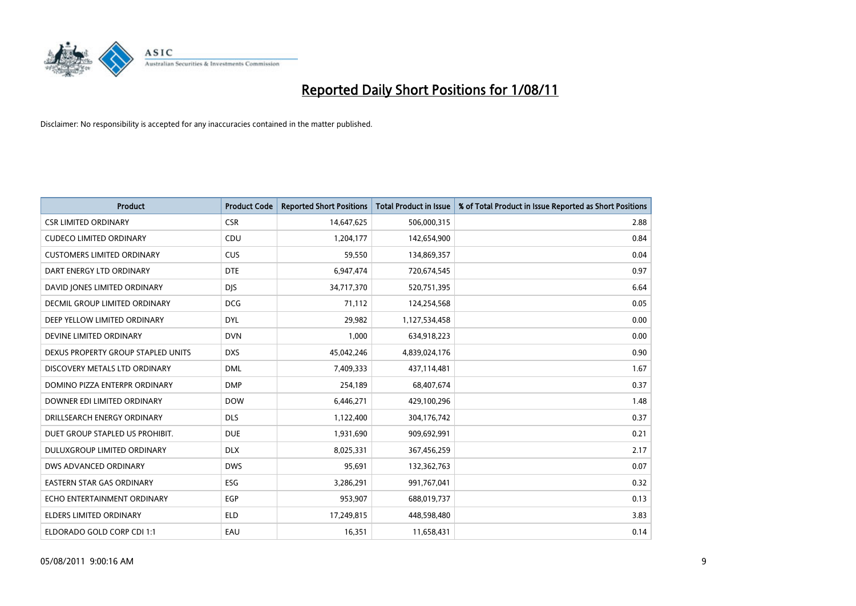

| <b>Product</b>                     | <b>Product Code</b> | <b>Reported Short Positions</b> | <b>Total Product in Issue</b> | % of Total Product in Issue Reported as Short Positions |
|------------------------------------|---------------------|---------------------------------|-------------------------------|---------------------------------------------------------|
| <b>CSR LIMITED ORDINARY</b>        | <b>CSR</b>          | 14,647,625                      | 506,000,315                   | 2.88                                                    |
| <b>CUDECO LIMITED ORDINARY</b>     | CDU                 | 1,204,177                       | 142,654,900                   | 0.84                                                    |
| <b>CUSTOMERS LIMITED ORDINARY</b>  | <b>CUS</b>          | 59,550                          | 134,869,357                   | 0.04                                                    |
| DART ENERGY LTD ORDINARY           | <b>DTE</b>          | 6,947,474                       | 720,674,545                   | 0.97                                                    |
| DAVID JONES LIMITED ORDINARY       | <b>DIS</b>          | 34,717,370                      | 520,751,395                   | 6.64                                                    |
| DECMIL GROUP LIMITED ORDINARY      | <b>DCG</b>          | 71,112                          | 124,254,568                   | 0.05                                                    |
| DEEP YELLOW LIMITED ORDINARY       | <b>DYL</b>          | 29,982                          | 1,127,534,458                 | 0.00                                                    |
| DEVINE LIMITED ORDINARY            | <b>DVN</b>          | 1,000                           | 634,918,223                   | 0.00                                                    |
| DEXUS PROPERTY GROUP STAPLED UNITS | <b>DXS</b>          | 45,042,246                      | 4,839,024,176                 | 0.90                                                    |
| DISCOVERY METALS LTD ORDINARY      | <b>DML</b>          | 7,409,333                       | 437,114,481                   | 1.67                                                    |
| DOMINO PIZZA ENTERPR ORDINARY      | <b>DMP</b>          | 254,189                         | 68,407,674                    | 0.37                                                    |
| DOWNER EDI LIMITED ORDINARY        | <b>DOW</b>          | 6,446,271                       | 429,100,296                   | 1.48                                                    |
| DRILLSEARCH ENERGY ORDINARY        | <b>DLS</b>          | 1,122,400                       | 304,176,742                   | 0.37                                                    |
| DUET GROUP STAPLED US PROHIBIT.    | <b>DUE</b>          | 1,931,690                       | 909,692,991                   | 0.21                                                    |
| DULUXGROUP LIMITED ORDINARY        | <b>DLX</b>          | 8,025,331                       | 367,456,259                   | 2.17                                                    |
| DWS ADVANCED ORDINARY              | <b>DWS</b>          | 95,691                          | 132,362,763                   | 0.07                                                    |
| <b>EASTERN STAR GAS ORDINARY</b>   | ESG                 | 3,286,291                       | 991,767,041                   | 0.32                                                    |
| ECHO ENTERTAINMENT ORDINARY        | <b>EGP</b>          | 953,907                         | 688,019,737                   | 0.13                                                    |
| <b>ELDERS LIMITED ORDINARY</b>     | <b>ELD</b>          | 17,249,815                      | 448,598,480                   | 3.83                                                    |
| ELDORADO GOLD CORP CDI 1:1         | EAU                 | 16,351                          | 11,658,431                    | 0.14                                                    |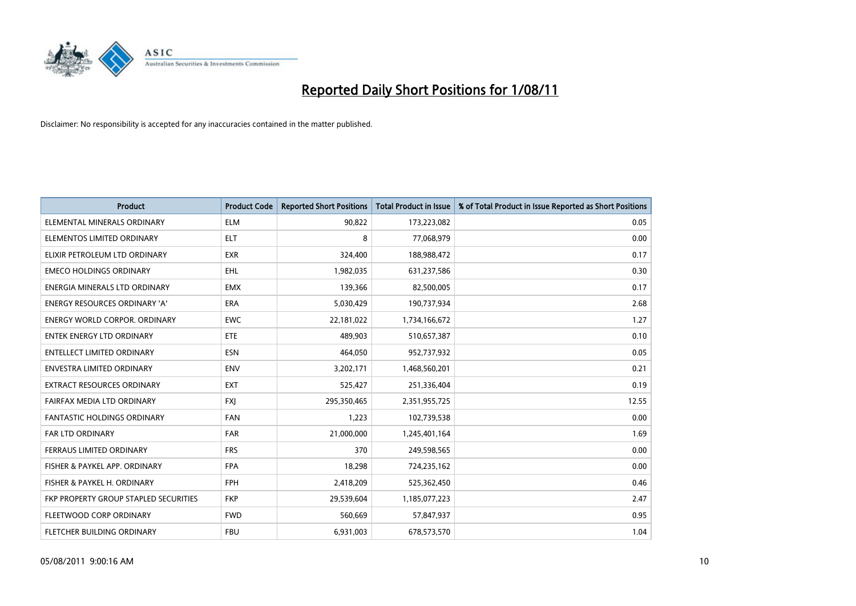

| <b>Product</b>                        | <b>Product Code</b> | <b>Reported Short Positions</b> | <b>Total Product in Issue</b> | % of Total Product in Issue Reported as Short Positions |
|---------------------------------------|---------------------|---------------------------------|-------------------------------|---------------------------------------------------------|
| ELEMENTAL MINERALS ORDINARY           | <b>ELM</b>          | 90,822                          | 173,223,082                   | 0.05                                                    |
| ELEMENTOS LIMITED ORDINARY            | <b>ELT</b>          | 8                               | 77,068,979                    | 0.00                                                    |
| ELIXIR PETROLEUM LTD ORDINARY         | <b>EXR</b>          | 324,400                         | 188,988,472                   | 0.17                                                    |
| <b>EMECO HOLDINGS ORDINARY</b>        | <b>EHL</b>          | 1,982,035                       | 631,237,586                   | 0.30                                                    |
| ENERGIA MINERALS LTD ORDINARY         | <b>EMX</b>          | 139,366                         | 82,500,005                    | 0.17                                                    |
| <b>ENERGY RESOURCES ORDINARY 'A'</b>  | <b>ERA</b>          | 5,030,429                       | 190,737,934                   | 2.68                                                    |
| <b>ENERGY WORLD CORPOR, ORDINARY</b>  | <b>EWC</b>          | 22,181,022                      | 1,734,166,672                 | 1.27                                                    |
| <b>ENTEK ENERGY LTD ORDINARY</b>      | <b>ETE</b>          | 489,903                         | 510,657,387                   | 0.10                                                    |
| <b>ENTELLECT LIMITED ORDINARY</b>     | <b>ESN</b>          | 464,050                         | 952,737,932                   | 0.05                                                    |
| <b>ENVESTRA LIMITED ORDINARY</b>      | <b>ENV</b>          | 3,202,171                       | 1,468,560,201                 | 0.21                                                    |
| <b>EXTRACT RESOURCES ORDINARY</b>     | <b>EXT</b>          | 525,427                         | 251,336,404                   | 0.19                                                    |
| FAIRFAX MEDIA LTD ORDINARY            | <b>FXI</b>          | 295,350,465                     | 2,351,955,725                 | 12.55                                                   |
| <b>FANTASTIC HOLDINGS ORDINARY</b>    | <b>FAN</b>          | 1,223                           | 102,739,538                   | 0.00                                                    |
| <b>FAR LTD ORDINARY</b>               | <b>FAR</b>          | 21,000,000                      | 1,245,401,164                 | 1.69                                                    |
| FERRAUS LIMITED ORDINARY              | <b>FRS</b>          | 370                             | 249,598,565                   | 0.00                                                    |
| FISHER & PAYKEL APP. ORDINARY         | <b>FPA</b>          | 18,298                          | 724,235,162                   | 0.00                                                    |
| FISHER & PAYKEL H. ORDINARY           | <b>FPH</b>          | 2,418,209                       | 525,362,450                   | 0.46                                                    |
| FKP PROPERTY GROUP STAPLED SECURITIES | <b>FKP</b>          | 29,539,604                      | 1,185,077,223                 | 2.47                                                    |
| FLEETWOOD CORP ORDINARY               | <b>FWD</b>          | 560,669                         | 57,847,937                    | 0.95                                                    |
| <b>FLETCHER BUILDING ORDINARY</b>     | <b>FBU</b>          | 6,931,003                       | 678,573,570                   | 1.04                                                    |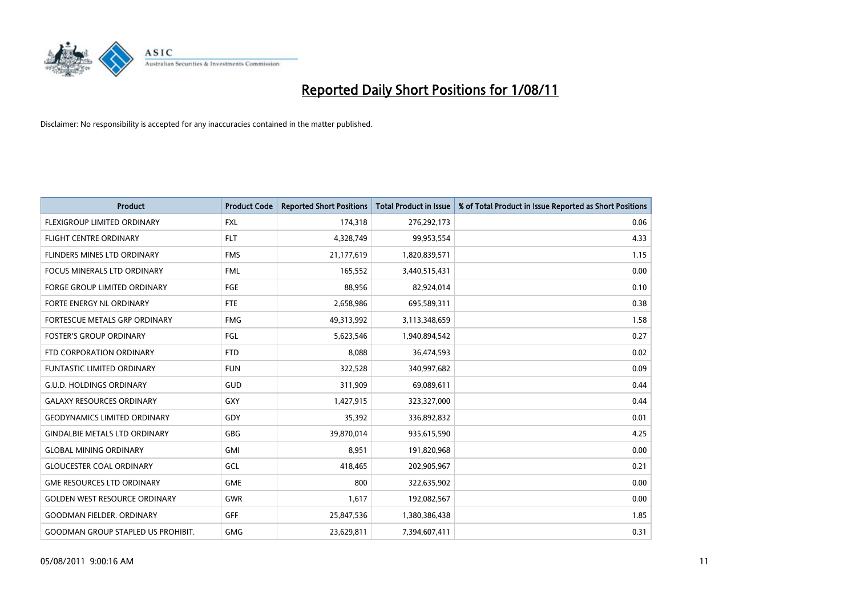

| <b>Product</b>                            | <b>Product Code</b> | <b>Reported Short Positions</b> | <b>Total Product in Issue</b> | % of Total Product in Issue Reported as Short Positions |
|-------------------------------------------|---------------------|---------------------------------|-------------------------------|---------------------------------------------------------|
| FLEXIGROUP LIMITED ORDINARY               | <b>FXL</b>          | 174,318                         | 276,292,173                   | 0.06                                                    |
| FLIGHT CENTRE ORDINARY                    | <b>FLT</b>          | 4,328,749                       | 99,953,554                    | 4.33                                                    |
| FLINDERS MINES LTD ORDINARY               | <b>FMS</b>          | 21,177,619                      | 1,820,839,571                 | 1.15                                                    |
| FOCUS MINERALS LTD ORDINARY               | <b>FML</b>          | 165,552                         | 3,440,515,431                 | 0.00                                                    |
| <b>FORGE GROUP LIMITED ORDINARY</b>       | <b>FGE</b>          | 88,956                          | 82,924,014                    | 0.10                                                    |
| FORTE ENERGY NL ORDINARY                  | <b>FTE</b>          | 2,658,986                       | 695,589,311                   | 0.38                                                    |
| FORTESCUE METALS GRP ORDINARY             | <b>FMG</b>          | 49,313,992                      | 3,113,348,659                 | 1.58                                                    |
| <b>FOSTER'S GROUP ORDINARY</b>            | FGL                 | 5,623,546                       | 1,940,894,542                 | 0.27                                                    |
| FTD CORPORATION ORDINARY                  | <b>FTD</b>          | 8,088                           | 36,474,593                    | 0.02                                                    |
| <b>FUNTASTIC LIMITED ORDINARY</b>         | <b>FUN</b>          | 322,528                         | 340,997,682                   | 0.09                                                    |
| <b>G.U.D. HOLDINGS ORDINARY</b>           | GUD                 | 311,909                         | 69,089,611                    | 0.44                                                    |
| <b>GALAXY RESOURCES ORDINARY</b>          | GXY                 | 1,427,915                       | 323,327,000                   | 0.44                                                    |
| <b>GEODYNAMICS LIMITED ORDINARY</b>       | GDY                 | 35,392                          | 336,892,832                   | 0.01                                                    |
| <b>GINDALBIE METALS LTD ORDINARY</b>      | GBG                 | 39,870,014                      | 935,615,590                   | 4.25                                                    |
| <b>GLOBAL MINING ORDINARY</b>             | <b>GMI</b>          | 8,951                           | 191,820,968                   | 0.00                                                    |
| <b>GLOUCESTER COAL ORDINARY</b>           | GCL                 | 418,465                         | 202,905,967                   | 0.21                                                    |
| <b>GME RESOURCES LTD ORDINARY</b>         | <b>GME</b>          | 800                             | 322,635,902                   | 0.00                                                    |
| <b>GOLDEN WEST RESOURCE ORDINARY</b>      | <b>GWR</b>          | 1,617                           | 192,082,567                   | 0.00                                                    |
| <b>GOODMAN FIELDER, ORDINARY</b>          | <b>GFF</b>          | 25,847,536                      | 1,380,386,438                 | 1.85                                                    |
| <b>GOODMAN GROUP STAPLED US PROHIBIT.</b> | <b>GMG</b>          | 23,629,811                      | 7,394,607,411                 | 0.31                                                    |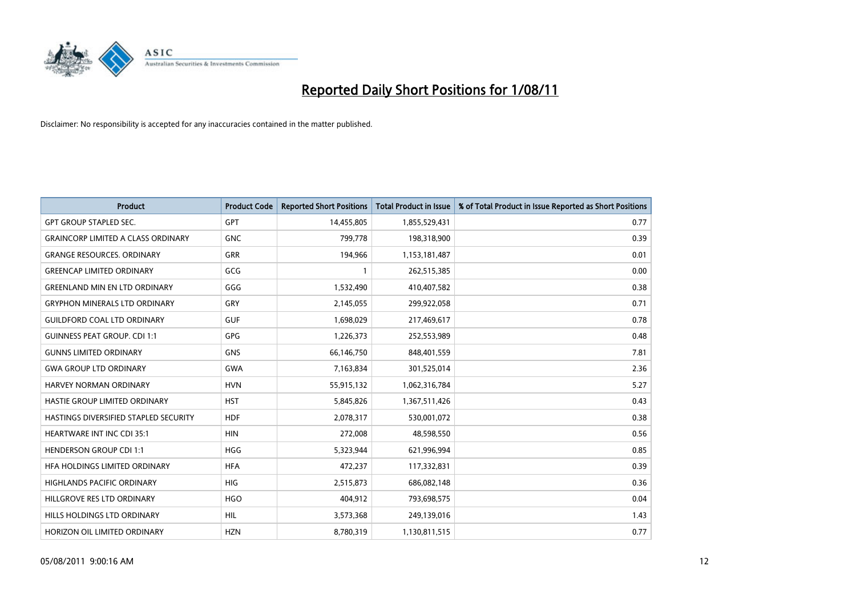

| <b>Product</b>                            | <b>Product Code</b> | <b>Reported Short Positions</b> | <b>Total Product in Issue</b> | % of Total Product in Issue Reported as Short Positions |
|-------------------------------------------|---------------------|---------------------------------|-------------------------------|---------------------------------------------------------|
| <b>GPT GROUP STAPLED SEC.</b>             | <b>GPT</b>          | 14,455,805                      | 1,855,529,431                 | 0.77                                                    |
| <b>GRAINCORP LIMITED A CLASS ORDINARY</b> | <b>GNC</b>          | 799,778                         | 198,318,900                   | 0.39                                                    |
| <b>GRANGE RESOURCES, ORDINARY</b>         | <b>GRR</b>          | 194,966                         | 1,153,181,487                 | 0.01                                                    |
| <b>GREENCAP LIMITED ORDINARY</b>          | GCG                 |                                 | 262,515,385                   | 0.00                                                    |
| <b>GREENLAND MIN EN LTD ORDINARY</b>      | GGG                 | 1,532,490                       | 410,407,582                   | 0.38                                                    |
| <b>GRYPHON MINERALS LTD ORDINARY</b>      | GRY                 | 2,145,055                       | 299,922,058                   | 0.71                                                    |
| <b>GUILDFORD COAL LTD ORDINARY</b>        | <b>GUF</b>          | 1,698,029                       | 217,469,617                   | 0.78                                                    |
| <b>GUINNESS PEAT GROUP. CDI 1:1</b>       | <b>GPG</b>          | 1,226,373                       | 252,553,989                   | 0.48                                                    |
| <b>GUNNS LIMITED ORDINARY</b>             | <b>GNS</b>          | 66,146,750                      | 848,401,559                   | 7.81                                                    |
| <b>GWA GROUP LTD ORDINARY</b>             | <b>GWA</b>          | 7,163,834                       | 301,525,014                   | 2.36                                                    |
| <b>HARVEY NORMAN ORDINARY</b>             | <b>HVN</b>          | 55,915,132                      | 1,062,316,784                 | 5.27                                                    |
| HASTIE GROUP LIMITED ORDINARY             | <b>HST</b>          | 5,845,826                       | 1,367,511,426                 | 0.43                                                    |
| HASTINGS DIVERSIFIED STAPLED SECURITY     | <b>HDF</b>          | 2,078,317                       | 530,001,072                   | 0.38                                                    |
| <b>HEARTWARE INT INC CDI 35:1</b>         | <b>HIN</b>          | 272,008                         | 48,598,550                    | 0.56                                                    |
| <b>HENDERSON GROUP CDI 1:1</b>            | <b>HGG</b>          | 5,323,944                       | 621,996,994                   | 0.85                                                    |
| HFA HOLDINGS LIMITED ORDINARY             | <b>HFA</b>          | 472,237                         | 117,332,831                   | 0.39                                                    |
| <b>HIGHLANDS PACIFIC ORDINARY</b>         | <b>HIG</b>          | 2,515,873                       | 686,082,148                   | 0.36                                                    |
| HILLGROVE RES LTD ORDINARY                | <b>HGO</b>          | 404,912                         | 793,698,575                   | 0.04                                                    |
| HILLS HOLDINGS LTD ORDINARY               | <b>HIL</b>          | 3,573,368                       | 249,139,016                   | 1.43                                                    |
| HORIZON OIL LIMITED ORDINARY              | <b>HZN</b>          | 8,780,319                       | 1,130,811,515                 | 0.77                                                    |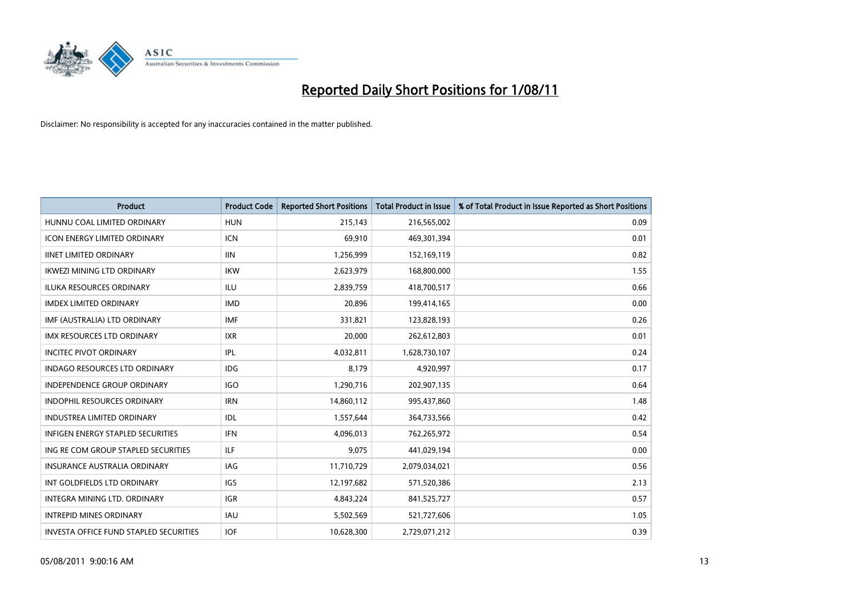

| <b>Product</b>                                | <b>Product Code</b> | <b>Reported Short Positions</b> | <b>Total Product in Issue</b> | % of Total Product in Issue Reported as Short Positions |
|-----------------------------------------------|---------------------|---------------------------------|-------------------------------|---------------------------------------------------------|
| HUNNU COAL LIMITED ORDINARY                   | <b>HUN</b>          | 215,143                         | 216,565,002                   | 0.09                                                    |
| ICON ENERGY LIMITED ORDINARY                  | <b>ICN</b>          | 69,910                          | 469,301,394                   | 0.01                                                    |
| <b>IINET LIMITED ORDINARY</b>                 | <b>IIN</b>          | 1,256,999                       | 152,169,119                   | 0.82                                                    |
| IKWEZI MINING LTD ORDINARY                    | <b>IKW</b>          | 2,623,979                       | 168,800,000                   | 1.55                                                    |
| <b>ILUKA RESOURCES ORDINARY</b>               | <b>ILU</b>          | 2,839,759                       | 418,700,517                   | 0.66                                                    |
| <b>IMDEX LIMITED ORDINARY</b>                 | <b>IMD</b>          | 20,896                          | 199,414,165                   | 0.00                                                    |
| IMF (AUSTRALIA) LTD ORDINARY                  | <b>IMF</b>          | 331,821                         | 123,828,193                   | 0.26                                                    |
| <b>IMX RESOURCES LTD ORDINARY</b>             | <b>IXR</b>          | 20,000                          | 262,612,803                   | 0.01                                                    |
| <b>INCITEC PIVOT ORDINARY</b>                 | IPL                 | 4,032,811                       | 1,628,730,107                 | 0.24                                                    |
| <b>INDAGO RESOURCES LTD ORDINARY</b>          | IDG                 | 8,179                           | 4,920,997                     | 0.17                                                    |
| INDEPENDENCE GROUP ORDINARY                   | <b>IGO</b>          | 1,290,716                       | 202,907,135                   | 0.64                                                    |
| <b>INDOPHIL RESOURCES ORDINARY</b>            | <b>IRN</b>          | 14,860,112                      | 995,437,860                   | 1.48                                                    |
| <b>INDUSTREA LIMITED ORDINARY</b>             | IDL                 | 1,557,644                       | 364,733,566                   | 0.42                                                    |
| <b>INFIGEN ENERGY STAPLED SECURITIES</b>      | <b>IFN</b>          | 4,096,013                       | 762,265,972                   | 0.54                                                    |
| ING RE COM GROUP STAPLED SECURITIES           | <b>ILF</b>          | 9,075                           | 441,029,194                   | 0.00                                                    |
| INSURANCE AUSTRALIA ORDINARY                  | IAG                 | 11,710,729                      | 2,079,034,021                 | 0.56                                                    |
| INT GOLDFIELDS LTD ORDINARY                   | <b>IGS</b>          | 12,197,682                      | 571,520,386                   | 2.13                                                    |
| INTEGRA MINING LTD. ORDINARY                  | <b>IGR</b>          | 4,843,224                       | 841,525,727                   | 0.57                                                    |
| <b>INTREPID MINES ORDINARY</b>                | <b>IAU</b>          | 5,502,569                       | 521,727,606                   | 1.05                                                    |
| <b>INVESTA OFFICE FUND STAPLED SECURITIES</b> | <b>IOF</b>          | 10,628,300                      | 2,729,071,212                 | 0.39                                                    |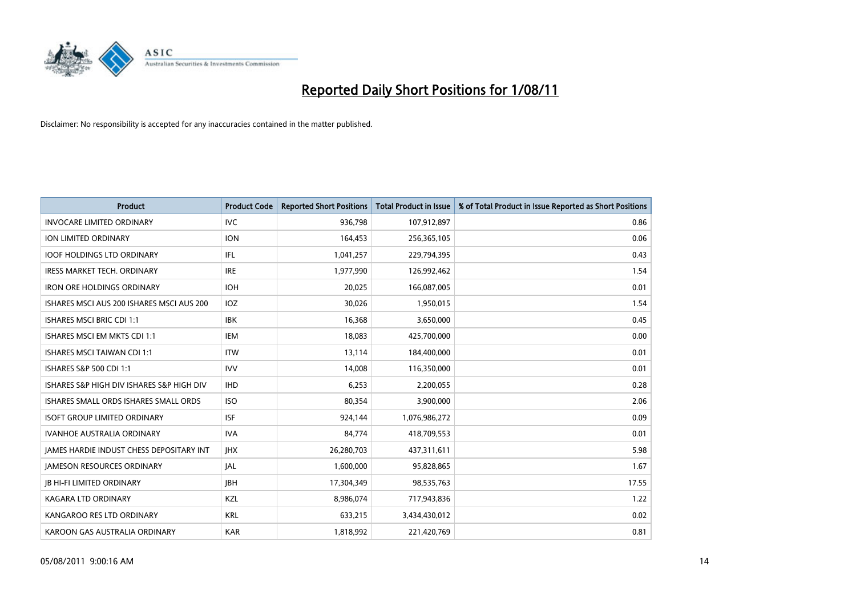

| <b>Product</b>                                  | <b>Product Code</b> | <b>Reported Short Positions</b> | <b>Total Product in Issue</b> | % of Total Product in Issue Reported as Short Positions |
|-------------------------------------------------|---------------------|---------------------------------|-------------------------------|---------------------------------------------------------|
| <b>INVOCARE LIMITED ORDINARY</b>                | <b>IVC</b>          | 936,798                         | 107,912,897                   | 0.86                                                    |
| <b>ION LIMITED ORDINARY</b>                     | <b>ION</b>          | 164,453                         | 256,365,105                   | 0.06                                                    |
| <b>IOOF HOLDINGS LTD ORDINARY</b>               | <b>IFL</b>          | 1,041,257                       | 229,794,395                   | 0.43                                                    |
| IRESS MARKET TECH. ORDINARY                     | <b>IRE</b>          | 1,977,990                       | 126,992,462                   | 1.54                                                    |
| <b>IRON ORE HOLDINGS ORDINARY</b>               | <b>IOH</b>          | 20.025                          | 166,087,005                   | 0.01                                                    |
| ISHARES MSCI AUS 200 ISHARES MSCI AUS 200       | IOZ                 | 30,026                          | 1,950,015                     | 1.54                                                    |
| <b>ISHARES MSCI BRIC CDI 1:1</b>                | <b>IBK</b>          | 16,368                          | 3,650,000                     | 0.45                                                    |
| ISHARES MSCI EM MKTS CDI 1:1                    | <b>IEM</b>          | 18,083                          | 425,700,000                   | 0.00                                                    |
| <b>ISHARES MSCI TAIWAN CDI 1:1</b>              | <b>ITW</b>          | 13,114                          | 184,400,000                   | 0.01                                                    |
| ISHARES S&P 500 CDI 1:1                         | <b>IVV</b>          | 14,008                          | 116,350,000                   | 0.01                                                    |
| ISHARES S&P HIGH DIV ISHARES S&P HIGH DIV       | <b>IHD</b>          | 6,253                           | 2,200,055                     | 0.28                                                    |
| <b>ISHARES SMALL ORDS ISHARES SMALL ORDS</b>    | <b>ISO</b>          | 80,354                          | 3,900,000                     | 2.06                                                    |
| <b>ISOFT GROUP LIMITED ORDINARY</b>             | <b>ISF</b>          | 924,144                         | 1,076,986,272                 | 0.09                                                    |
| <b>IVANHOE AUSTRALIA ORDINARY</b>               | <b>IVA</b>          | 84.774                          | 418,709,553                   | 0.01                                                    |
| <b>JAMES HARDIE INDUST CHESS DEPOSITARY INT</b> | <b>JHX</b>          | 26,280,703                      | 437,311,611                   | 5.98                                                    |
| <b>JAMESON RESOURCES ORDINARY</b>               | <b>JAL</b>          | 1,600,000                       | 95,828,865                    | 1.67                                                    |
| <b>JB HI-FI LIMITED ORDINARY</b>                | <b>IBH</b>          | 17,304,349                      | 98,535,763                    | 17.55                                                   |
| <b>KAGARA LTD ORDINARY</b>                      | KZL                 | 8,986,074                       | 717,943,836                   | 1.22                                                    |
| KANGAROO RES LTD ORDINARY                       | <b>KRL</b>          | 633,215                         | 3,434,430,012                 | 0.02                                                    |
| KAROON GAS AUSTRALIA ORDINARY                   | <b>KAR</b>          | 1,818,992                       | 221,420,769                   | 0.81                                                    |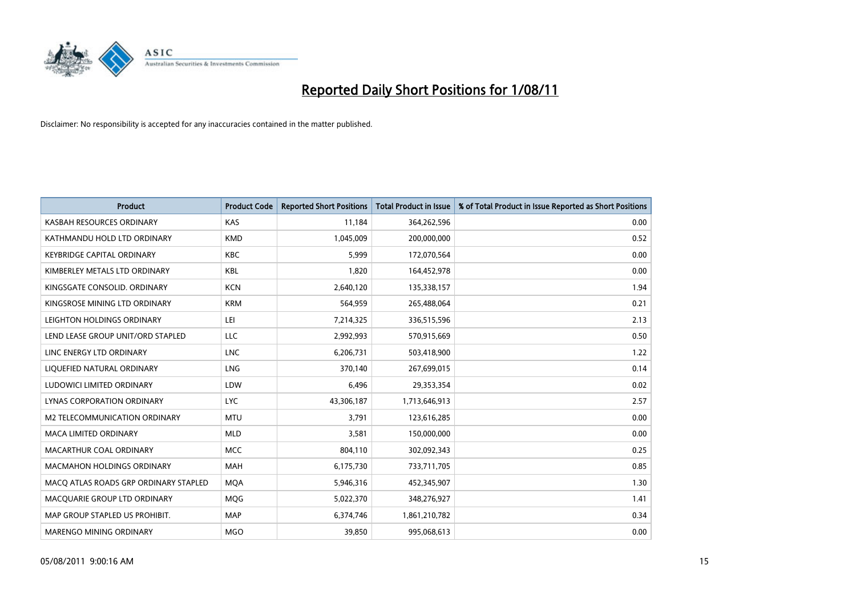

| <b>Product</b>                        | <b>Product Code</b> | <b>Reported Short Positions</b> | <b>Total Product in Issue</b> | % of Total Product in Issue Reported as Short Positions |
|---------------------------------------|---------------------|---------------------------------|-------------------------------|---------------------------------------------------------|
| KASBAH RESOURCES ORDINARY             | KAS                 | 11,184                          | 364,262,596                   | 0.00                                                    |
| KATHMANDU HOLD LTD ORDINARY           | <b>KMD</b>          | 1,045,009                       | 200,000,000                   | 0.52                                                    |
| <b>KEYBRIDGE CAPITAL ORDINARY</b>     | <b>KBC</b>          | 5,999                           | 172,070,564                   | 0.00                                                    |
| KIMBERLEY METALS LTD ORDINARY         | <b>KBL</b>          | 1,820                           | 164,452,978                   | 0.00                                                    |
| KINGSGATE CONSOLID, ORDINARY          | <b>KCN</b>          | 2,640,120                       | 135,338,157                   | 1.94                                                    |
| KINGSROSE MINING LTD ORDINARY         | <b>KRM</b>          | 564,959                         | 265,488,064                   | 0.21                                                    |
| LEIGHTON HOLDINGS ORDINARY            | LEI                 | 7,214,325                       | 336,515,596                   | 2.13                                                    |
| LEND LEASE GROUP UNIT/ORD STAPLED     | LLC                 | 2,992,993                       | 570,915,669                   | 0.50                                                    |
| LINC ENERGY LTD ORDINARY              | <b>LNC</b>          | 6,206,731                       | 503,418,900                   | 1.22                                                    |
| LIOUEFIED NATURAL ORDINARY            | <b>LNG</b>          | 370.140                         | 267,699,015                   | 0.14                                                    |
| LUDOWICI LIMITED ORDINARY             | LDW                 | 6,496                           | 29,353,354                    | 0.02                                                    |
| LYNAS CORPORATION ORDINARY            | <b>LYC</b>          | 43,306,187                      | 1,713,646,913                 | 2.57                                                    |
| M2 TELECOMMUNICATION ORDINARY         | <b>MTU</b>          | 3.791                           | 123,616,285                   | 0.00                                                    |
| <b>MACA LIMITED ORDINARY</b>          | <b>MLD</b>          | 3,581                           | 150,000,000                   | 0.00                                                    |
| MACARTHUR COAL ORDINARY               | MCC                 | 804,110                         | 302,092,343                   | 0.25                                                    |
| <b>MACMAHON HOLDINGS ORDINARY</b>     | <b>MAH</b>          | 6,175,730                       | 733,711,705                   | 0.85                                                    |
| MACO ATLAS ROADS GRP ORDINARY STAPLED | <b>MQA</b>          | 5,946,316                       | 452,345,907                   | 1.30                                                    |
| MACQUARIE GROUP LTD ORDINARY          | <b>MOG</b>          | 5,022,370                       | 348,276,927                   | 1.41                                                    |
| MAP GROUP STAPLED US PROHIBIT.        | <b>MAP</b>          | 6,374,746                       | 1,861,210,782                 | 0.34                                                    |
| <b>MARENGO MINING ORDINARY</b>        | <b>MGO</b>          | 39,850                          | 995,068,613                   | 0.00                                                    |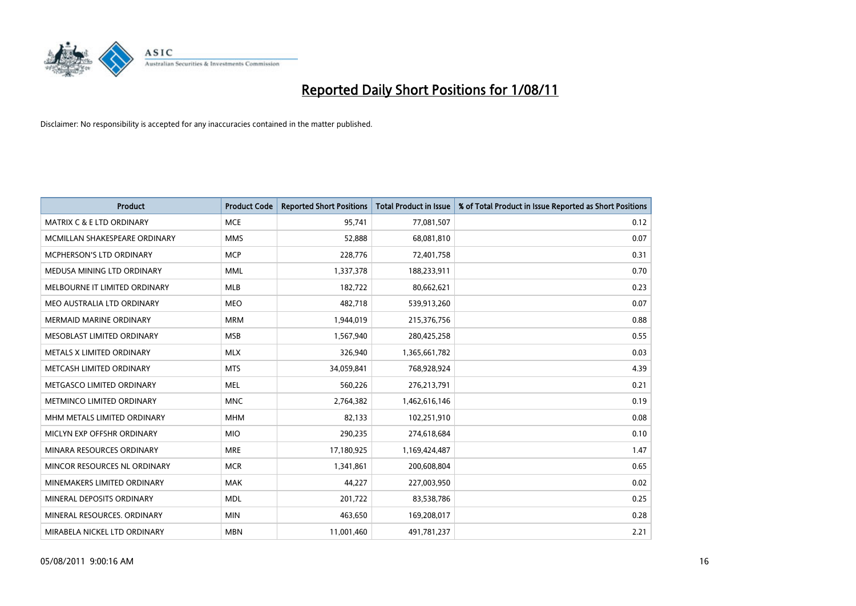

| <b>Product</b>                       | <b>Product Code</b> | <b>Reported Short Positions</b> | <b>Total Product in Issue</b> | % of Total Product in Issue Reported as Short Positions |
|--------------------------------------|---------------------|---------------------------------|-------------------------------|---------------------------------------------------------|
| <b>MATRIX C &amp; E LTD ORDINARY</b> | <b>MCE</b>          | 95,741                          | 77,081,507                    | 0.12                                                    |
| MCMILLAN SHAKESPEARE ORDINARY        | <b>MMS</b>          | 52,888                          | 68,081,810                    | 0.07                                                    |
| <b>MCPHERSON'S LTD ORDINARY</b>      | <b>MCP</b>          | 228,776                         | 72,401,758                    | 0.31                                                    |
| MEDUSA MINING LTD ORDINARY           | <b>MML</b>          | 1,337,378                       | 188,233,911                   | 0.70                                                    |
| MELBOURNE IT LIMITED ORDINARY        | MLB                 | 182,722                         | 80,662,621                    | 0.23                                                    |
| MEO AUSTRALIA LTD ORDINARY           | <b>MEO</b>          | 482,718                         | 539,913,260                   | 0.07                                                    |
| <b>MERMAID MARINE ORDINARY</b>       | <b>MRM</b>          | 1,944,019                       | 215,376,756                   | 0.88                                                    |
| MESOBLAST LIMITED ORDINARY           | <b>MSB</b>          | 1,567,940                       | 280,425,258                   | 0.55                                                    |
| METALS X LIMITED ORDINARY            | <b>MLX</b>          | 326,940                         | 1,365,661,782                 | 0.03                                                    |
| METCASH LIMITED ORDINARY             | <b>MTS</b>          | 34,059,841                      | 768,928,924                   | 4.39                                                    |
| METGASCO LIMITED ORDINARY            | <b>MEL</b>          | 560,226                         | 276,213,791                   | 0.21                                                    |
| METMINCO LIMITED ORDINARY            | <b>MNC</b>          | 2,764,382                       | 1,462,616,146                 | 0.19                                                    |
| MHM METALS LIMITED ORDINARY          | <b>MHM</b>          | 82,133                          | 102,251,910                   | 0.08                                                    |
| MICLYN EXP OFFSHR ORDINARY           | <b>MIO</b>          | 290,235                         | 274,618,684                   | 0.10                                                    |
| MINARA RESOURCES ORDINARY            | <b>MRE</b>          | 17,180,925                      | 1,169,424,487                 | 1.47                                                    |
| MINCOR RESOURCES NL ORDINARY         | <b>MCR</b>          | 1,341,861                       | 200,608,804                   | 0.65                                                    |
| MINEMAKERS LIMITED ORDINARY          | <b>MAK</b>          | 44,227                          | 227,003,950                   | 0.02                                                    |
| MINERAL DEPOSITS ORDINARY            | <b>MDL</b>          | 201,722                         | 83,538,786                    | 0.25                                                    |
| MINERAL RESOURCES, ORDINARY          | <b>MIN</b>          | 463,650                         | 169,208,017                   | 0.28                                                    |
| MIRABELA NICKEL LTD ORDINARY         | <b>MBN</b>          | 11,001,460                      | 491,781,237                   | 2.21                                                    |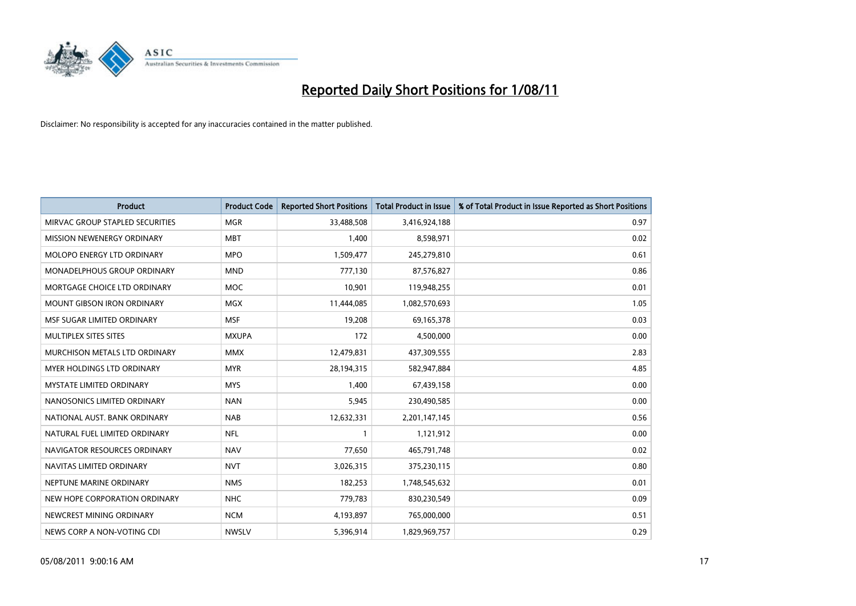

| <b>Product</b>                    | <b>Product Code</b> | <b>Reported Short Positions</b> | <b>Total Product in Issue</b> | % of Total Product in Issue Reported as Short Positions |
|-----------------------------------|---------------------|---------------------------------|-------------------------------|---------------------------------------------------------|
| MIRVAC GROUP STAPLED SECURITIES   | <b>MGR</b>          | 33,488,508                      | 3,416,924,188                 | 0.97                                                    |
| MISSION NEWENERGY ORDINARY        | <b>MBT</b>          | 1,400                           | 8,598,971                     | 0.02                                                    |
| MOLOPO ENERGY LTD ORDINARY        | <b>MPO</b>          | 1,509,477                       | 245,279,810                   | 0.61                                                    |
| MONADELPHOUS GROUP ORDINARY       | <b>MND</b>          | 777,130                         | 87,576,827                    | 0.86                                                    |
| MORTGAGE CHOICE LTD ORDINARY      | <b>MOC</b>          | 10,901                          | 119,948,255                   | 0.01                                                    |
| <b>MOUNT GIBSON IRON ORDINARY</b> | <b>MGX</b>          | 11,444,085                      | 1,082,570,693                 | 1.05                                                    |
| MSF SUGAR LIMITED ORDINARY        | <b>MSF</b>          | 19,208                          | 69,165,378                    | 0.03                                                    |
| MULTIPLEX SITES SITES             | <b>MXUPA</b>        | 172                             | 4,500,000                     | 0.00                                                    |
| MURCHISON METALS LTD ORDINARY     | <b>MMX</b>          | 12,479,831                      | 437,309,555                   | 2.83                                                    |
| MYER HOLDINGS LTD ORDINARY        | <b>MYR</b>          | 28,194,315                      | 582,947,884                   | 4.85                                                    |
| MYSTATE LIMITED ORDINARY          | <b>MYS</b>          | 1,400                           | 67,439,158                    | 0.00                                                    |
| NANOSONICS LIMITED ORDINARY       | <b>NAN</b>          | 5,945                           | 230,490,585                   | 0.00                                                    |
| NATIONAL AUST. BANK ORDINARY      | <b>NAB</b>          | 12,632,331                      | 2,201,147,145                 | 0.56                                                    |
| NATURAL FUEL LIMITED ORDINARY     | <b>NFL</b>          |                                 | 1,121,912                     | 0.00                                                    |
| NAVIGATOR RESOURCES ORDINARY      | <b>NAV</b>          | 77,650                          | 465,791,748                   | 0.02                                                    |
| NAVITAS LIMITED ORDINARY          | <b>NVT</b>          | 3,026,315                       | 375,230,115                   | 0.80                                                    |
| NEPTUNE MARINE ORDINARY           | <b>NMS</b>          | 182,253                         | 1,748,545,632                 | 0.01                                                    |
| NEW HOPE CORPORATION ORDINARY     | <b>NHC</b>          | 779,783                         | 830,230,549                   | 0.09                                                    |
| NEWCREST MINING ORDINARY          | <b>NCM</b>          | 4,193,897                       | 765,000,000                   | 0.51                                                    |
| NEWS CORP A NON-VOTING CDI        | <b>NWSLV</b>        | 5,396,914                       | 1,829,969,757                 | 0.29                                                    |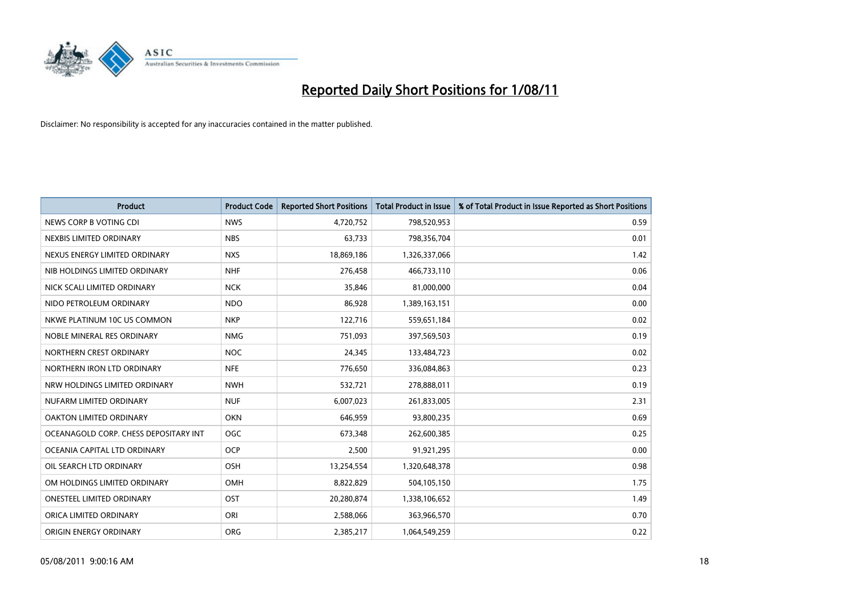

| <b>Product</b>                        | <b>Product Code</b> | <b>Reported Short Positions</b> | <b>Total Product in Issue</b> | % of Total Product in Issue Reported as Short Positions |
|---------------------------------------|---------------------|---------------------------------|-------------------------------|---------------------------------------------------------|
| NEWS CORP B VOTING CDI                | <b>NWS</b>          | 4,720,752                       | 798,520,953                   | 0.59                                                    |
| NEXBIS LIMITED ORDINARY               | <b>NBS</b>          | 63,733                          | 798,356,704                   | 0.01                                                    |
| NEXUS ENERGY LIMITED ORDINARY         | <b>NXS</b>          | 18,869,186                      | 1,326,337,066                 | 1.42                                                    |
| NIB HOLDINGS LIMITED ORDINARY         | <b>NHF</b>          | 276,458                         | 466,733,110                   | 0.06                                                    |
| NICK SCALI LIMITED ORDINARY           | <b>NCK</b>          | 35,846                          | 81,000,000                    | 0.04                                                    |
| NIDO PETROLEUM ORDINARY               | <b>NDO</b>          | 86,928                          | 1,389,163,151                 | 0.00                                                    |
| NKWE PLATINUM 10C US COMMON           | <b>NKP</b>          | 122,716                         | 559,651,184                   | 0.02                                                    |
| NOBLE MINERAL RES ORDINARY            | <b>NMG</b>          | 751,093                         | 397,569,503                   | 0.19                                                    |
| NORTHERN CREST ORDINARY               | <b>NOC</b>          | 24,345                          | 133,484,723                   | 0.02                                                    |
| NORTHERN IRON LTD ORDINARY            | <b>NFE</b>          | 776,650                         | 336,084,863                   | 0.23                                                    |
| NRW HOLDINGS LIMITED ORDINARY         | <b>NWH</b>          | 532,721                         | 278,888,011                   | 0.19                                                    |
| NUFARM LIMITED ORDINARY               | <b>NUF</b>          | 6,007,023                       | 261,833,005                   | 2.31                                                    |
| OAKTON LIMITED ORDINARY               | <b>OKN</b>          | 646,959                         | 93,800,235                    | 0.69                                                    |
| OCEANAGOLD CORP. CHESS DEPOSITARY INT | OGC                 | 673,348                         | 262,600,385                   | 0.25                                                    |
| OCEANIA CAPITAL LTD ORDINARY          | <b>OCP</b>          | 2,500                           | 91,921,295                    | 0.00                                                    |
| OIL SEARCH LTD ORDINARY               | <b>OSH</b>          | 13,254,554                      | 1,320,648,378                 | 0.98                                                    |
| OM HOLDINGS LIMITED ORDINARY          | <b>OMH</b>          | 8,822,829                       | 504,105,150                   | 1.75                                                    |
| ONESTEEL LIMITED ORDINARY             | OST                 | 20,280,874                      | 1,338,106,652                 | 1.49                                                    |
| ORICA LIMITED ORDINARY                | ORI                 | 2,588,066                       | 363,966,570                   | 0.70                                                    |
| ORIGIN ENERGY ORDINARY                | ORG                 | 2,385,217                       | 1,064,549,259                 | 0.22                                                    |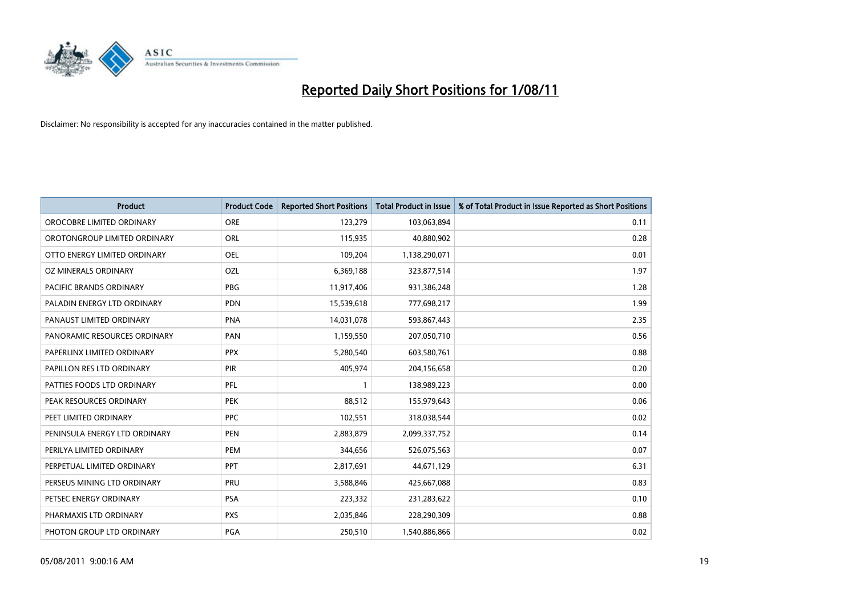

| <b>Product</b>                 | <b>Product Code</b> | <b>Reported Short Positions</b> | Total Product in Issue | % of Total Product in Issue Reported as Short Positions |
|--------------------------------|---------------------|---------------------------------|------------------------|---------------------------------------------------------|
| OROCOBRE LIMITED ORDINARY      | <b>ORE</b>          | 123,279                         | 103,063,894            | 0.11                                                    |
| OROTONGROUP LIMITED ORDINARY   | ORL                 | 115,935                         | 40,880,902             | 0.28                                                    |
| OTTO ENERGY LIMITED ORDINARY   | <b>OEL</b>          | 109,204                         | 1,138,290,071          | 0.01                                                    |
| OZ MINERALS ORDINARY           | OZL                 | 6,369,188                       | 323,877,514            | 1.97                                                    |
| <b>PACIFIC BRANDS ORDINARY</b> | <b>PBG</b>          | 11,917,406                      | 931,386,248            | 1.28                                                    |
| PALADIN ENERGY LTD ORDINARY    | <b>PDN</b>          | 15,539,618                      | 777,698,217            | 1.99                                                    |
| PANAUST LIMITED ORDINARY       | <b>PNA</b>          | 14,031,078                      | 593,867,443            | 2.35                                                    |
| PANORAMIC RESOURCES ORDINARY   | PAN                 | 1,159,550                       | 207,050,710            | 0.56                                                    |
| PAPERLINX LIMITED ORDINARY     | <b>PPX</b>          | 5,280,540                       | 603,580,761            | 0.88                                                    |
| PAPILLON RES LTD ORDINARY      | PIR                 | 405,974                         | 204,156,658            | 0.20                                                    |
| PATTIES FOODS LTD ORDINARY     | PFL                 |                                 | 138,989,223            | 0.00                                                    |
| PEAK RESOURCES ORDINARY        | <b>PEK</b>          | 88,512                          | 155,979,643            | 0.06                                                    |
| PEET LIMITED ORDINARY          | <b>PPC</b>          | 102,551                         | 318,038,544            | 0.02                                                    |
| PENINSULA ENERGY LTD ORDINARY  | <b>PEN</b>          | 2,883,879                       | 2,099,337,752          | 0.14                                                    |
| PERILYA LIMITED ORDINARY       | PEM                 | 344,656                         | 526,075,563            | 0.07                                                    |
| PERPETUAL LIMITED ORDINARY     | PPT                 | 2,817,691                       | 44,671,129             | 6.31                                                    |
| PERSEUS MINING LTD ORDINARY    | PRU                 | 3,588,846                       | 425,667,088            | 0.83                                                    |
| PETSEC ENERGY ORDINARY         | <b>PSA</b>          | 223,332                         | 231,283,622            | 0.10                                                    |
| PHARMAXIS LTD ORDINARY         | <b>PXS</b>          | 2,035,846                       | 228,290,309            | 0.88                                                    |
| PHOTON GROUP LTD ORDINARY      | <b>PGA</b>          | 250,510                         | 1,540,886,866          | 0.02                                                    |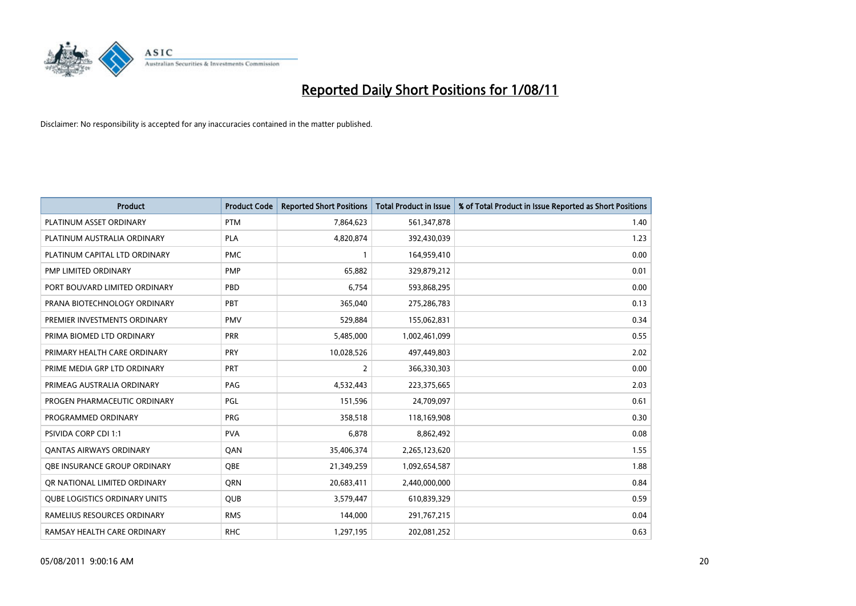

| <b>Product</b>                 | <b>Product Code</b> | <b>Reported Short Positions</b> | <b>Total Product in Issue</b> | % of Total Product in Issue Reported as Short Positions |
|--------------------------------|---------------------|---------------------------------|-------------------------------|---------------------------------------------------------|
| PLATINUM ASSET ORDINARY        | <b>PTM</b>          | 7,864,623                       | 561,347,878                   | 1.40                                                    |
| PLATINUM AUSTRALIA ORDINARY    | PLA                 | 4,820,874                       | 392,430,039                   | 1.23                                                    |
| PLATINUM CAPITAL LTD ORDINARY  | <b>PMC</b>          |                                 | 164,959,410                   | 0.00                                                    |
| PMP LIMITED ORDINARY           | PMP                 | 65,882                          | 329,879,212                   | 0.01                                                    |
| PORT BOUVARD LIMITED ORDINARY  | PBD                 | 6,754                           | 593,868,295                   | 0.00                                                    |
| PRANA BIOTECHNOLOGY ORDINARY   | PBT                 | 365,040                         | 275,286,783                   | 0.13                                                    |
| PREMIER INVESTMENTS ORDINARY   | <b>PMV</b>          | 529,884                         | 155,062,831                   | 0.34                                                    |
| PRIMA BIOMED LTD ORDINARY      | <b>PRR</b>          | 5,485,000                       | 1,002,461,099                 | 0.55                                                    |
| PRIMARY HEALTH CARE ORDINARY   | PRY                 | 10,028,526                      | 497,449,803                   | 2.02                                                    |
| PRIME MEDIA GRP LTD ORDINARY   | <b>PRT</b>          | 2                               | 366,330,303                   | 0.00                                                    |
| PRIMEAG AUSTRALIA ORDINARY     | PAG                 | 4,532,443                       | 223,375,665                   | 2.03                                                    |
| PROGEN PHARMACEUTIC ORDINARY   | PGL                 | 151,596                         | 24,709,097                    | 0.61                                                    |
| PROGRAMMED ORDINARY            | <b>PRG</b>          | 358,518                         | 118,169,908                   | 0.30                                                    |
| PSIVIDA CORP CDI 1:1           | <b>PVA</b>          | 6,878                           | 8,862,492                     | 0.08                                                    |
| <b>QANTAS AIRWAYS ORDINARY</b> | QAN                 | 35,406,374                      | 2,265,123,620                 | 1.55                                                    |
| OBE INSURANCE GROUP ORDINARY   | <b>QBE</b>          | 21,349,259                      | 1,092,654,587                 | 1.88                                                    |
| OR NATIONAL LIMITED ORDINARY   | <b>ORN</b>          | 20,683,411                      | 2,440,000,000                 | 0.84                                                    |
| QUBE LOGISTICS ORDINARY UNITS  | <b>QUB</b>          | 3,579,447                       | 610,839,329                   | 0.59                                                    |
| RAMELIUS RESOURCES ORDINARY    | <b>RMS</b>          | 144,000                         | 291,767,215                   | 0.04                                                    |
| RAMSAY HEALTH CARE ORDINARY    | <b>RHC</b>          | 1,297,195                       | 202,081,252                   | 0.63                                                    |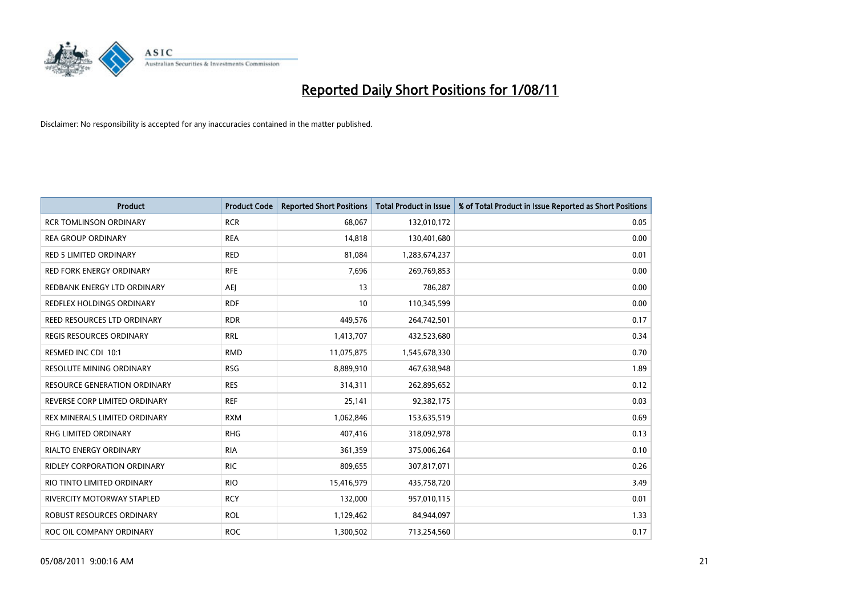

| <b>Product</b>                  | <b>Product Code</b> | <b>Reported Short Positions</b> | Total Product in Issue | % of Total Product in Issue Reported as Short Positions |
|---------------------------------|---------------------|---------------------------------|------------------------|---------------------------------------------------------|
| <b>RCR TOMLINSON ORDINARY</b>   | <b>RCR</b>          | 68,067                          | 132,010,172            | 0.05                                                    |
| <b>REA GROUP ORDINARY</b>       | <b>REA</b>          | 14,818                          | 130,401,680            | 0.00                                                    |
| <b>RED 5 LIMITED ORDINARY</b>   | <b>RED</b>          | 81,084                          | 1,283,674,237          | 0.01                                                    |
| RED FORK ENERGY ORDINARY        | <b>RFE</b>          | 7,696                           | 269,769,853            | 0.00                                                    |
| REDBANK ENERGY LTD ORDINARY     | <b>AEI</b>          | 13                              | 786,287                | 0.00                                                    |
| REDFLEX HOLDINGS ORDINARY       | <b>RDF</b>          | 10                              | 110,345,599            | 0.00                                                    |
| REED RESOURCES LTD ORDINARY     | <b>RDR</b>          | 449,576                         | 264,742,501            | 0.17                                                    |
| REGIS RESOURCES ORDINARY        | <b>RRL</b>          | 1,413,707                       | 432,523,680            | 0.34                                                    |
| RESMED INC CDI 10:1             | <b>RMD</b>          | 11,075,875                      | 1,545,678,330          | 0.70                                                    |
| <b>RESOLUTE MINING ORDINARY</b> | <b>RSG</b>          | 8,889,910                       | 467,638,948            | 1.89                                                    |
| RESOURCE GENERATION ORDINARY    | <b>RES</b>          | 314,311                         | 262,895,652            | 0.12                                                    |
| REVERSE CORP LIMITED ORDINARY   | <b>REF</b>          | 25,141                          | 92,382,175             | 0.03                                                    |
| REX MINERALS LIMITED ORDINARY   | <b>RXM</b>          | 1,062,846                       | 153,635,519            | 0.69                                                    |
| <b>RHG LIMITED ORDINARY</b>     | <b>RHG</b>          | 407,416                         | 318,092,978            | 0.13                                                    |
| <b>RIALTO ENERGY ORDINARY</b>   | <b>RIA</b>          | 361,359                         | 375,006,264            | 0.10                                                    |
| RIDLEY CORPORATION ORDINARY     | <b>RIC</b>          | 809,655                         | 307,817,071            | 0.26                                                    |
| RIO TINTO LIMITED ORDINARY      | <b>RIO</b>          | 15,416,979                      | 435,758,720            | 3.49                                                    |
| RIVERCITY MOTORWAY STAPLED      | <b>RCY</b>          | 132,000                         | 957,010,115            | 0.01                                                    |
| ROBUST RESOURCES ORDINARY       | <b>ROL</b>          | 1,129,462                       | 84,944,097             | 1.33                                                    |
| ROC OIL COMPANY ORDINARY        | <b>ROC</b>          | 1,300,502                       | 713,254,560            | 0.17                                                    |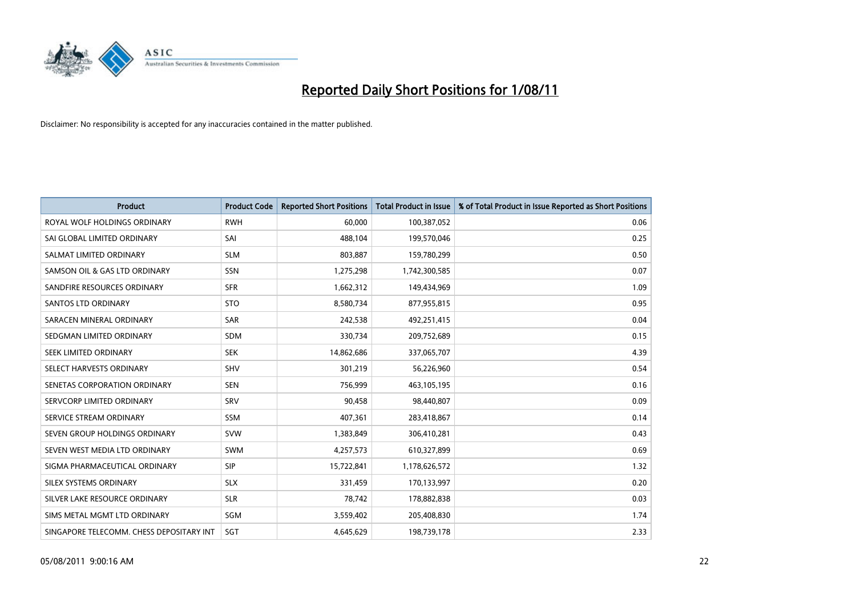

| <b>Product</b>                           | <b>Product Code</b> | <b>Reported Short Positions</b> | <b>Total Product in Issue</b> | % of Total Product in Issue Reported as Short Positions |
|------------------------------------------|---------------------|---------------------------------|-------------------------------|---------------------------------------------------------|
| ROYAL WOLF HOLDINGS ORDINARY             | <b>RWH</b>          | 60.000                          | 100,387,052                   | 0.06                                                    |
| SAI GLOBAL LIMITED ORDINARY              | SAI                 | 488,104                         | 199,570,046                   | 0.25                                                    |
| SALMAT LIMITED ORDINARY                  | <b>SLM</b>          | 803,887                         | 159,780,299                   | 0.50                                                    |
| SAMSON OIL & GAS LTD ORDINARY            | SSN                 | 1,275,298                       | 1,742,300,585                 | 0.07                                                    |
| SANDFIRE RESOURCES ORDINARY              | <b>SFR</b>          | 1,662,312                       | 149,434,969                   | 1.09                                                    |
| <b>SANTOS LTD ORDINARY</b>               | <b>STO</b>          | 8,580,734                       | 877,955,815                   | 0.95                                                    |
| SARACEN MINERAL ORDINARY                 | <b>SAR</b>          | 242,538                         | 492,251,415                   | 0.04                                                    |
| SEDGMAN LIMITED ORDINARY                 | <b>SDM</b>          | 330,734                         | 209,752,689                   | 0.15                                                    |
| SEEK LIMITED ORDINARY                    | <b>SEK</b>          | 14,862,686                      | 337,065,707                   | 4.39                                                    |
| SELECT HARVESTS ORDINARY                 | <b>SHV</b>          | 301,219                         | 56,226,960                    | 0.54                                                    |
| SENETAS CORPORATION ORDINARY             | <b>SEN</b>          | 756,999                         | 463,105,195                   | 0.16                                                    |
| SERVCORP LIMITED ORDINARY                | SRV                 | 90,458                          | 98,440,807                    | 0.09                                                    |
| SERVICE STREAM ORDINARY                  | <b>SSM</b>          | 407,361                         | 283,418,867                   | 0.14                                                    |
| SEVEN GROUP HOLDINGS ORDINARY            | <b>SVW</b>          | 1,383,849                       | 306,410,281                   | 0.43                                                    |
| SEVEN WEST MEDIA LTD ORDINARY            | <b>SWM</b>          | 4,257,573                       | 610,327,899                   | 0.69                                                    |
| SIGMA PHARMACEUTICAL ORDINARY            | SIP                 | 15,722,841                      | 1,178,626,572                 | 1.32                                                    |
| SILEX SYSTEMS ORDINARY                   | <b>SLX</b>          | 331,459                         | 170,133,997                   | 0.20                                                    |
| SILVER LAKE RESOURCE ORDINARY            | <b>SLR</b>          | 78,742                          | 178,882,838                   | 0.03                                                    |
| SIMS METAL MGMT LTD ORDINARY             | SGM                 | 3,559,402                       | 205,408,830                   | 1.74                                                    |
| SINGAPORE TELECOMM. CHESS DEPOSITARY INT | SGT                 | 4,645,629                       | 198,739,178                   | 2.33                                                    |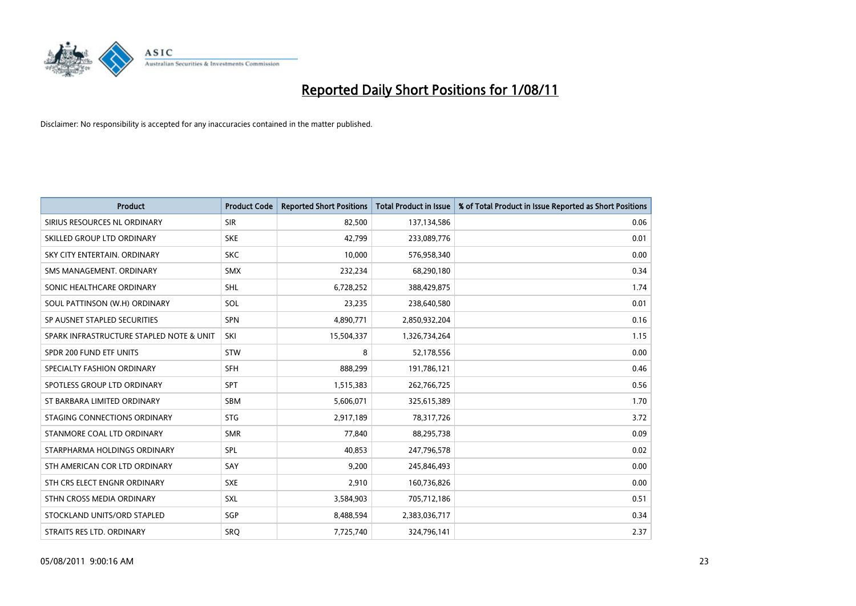

| <b>Product</b>                           | <b>Product Code</b> | <b>Reported Short Positions</b> | <b>Total Product in Issue</b> | % of Total Product in Issue Reported as Short Positions |
|------------------------------------------|---------------------|---------------------------------|-------------------------------|---------------------------------------------------------|
| SIRIUS RESOURCES NL ORDINARY             | <b>SIR</b>          | 82,500                          | 137,134,586                   | 0.06                                                    |
| SKILLED GROUP LTD ORDINARY               | <b>SKE</b>          | 42,799                          | 233,089,776                   | 0.01                                                    |
| SKY CITY ENTERTAIN. ORDINARY             | <b>SKC</b>          | 10,000                          | 576,958,340                   | 0.00                                                    |
| SMS MANAGEMENT, ORDINARY                 | <b>SMX</b>          | 232,234                         | 68,290,180                    | 0.34                                                    |
| SONIC HEALTHCARE ORDINARY                | <b>SHL</b>          | 6,728,252                       | 388,429,875                   | 1.74                                                    |
| SOUL PATTINSON (W.H) ORDINARY            | SOL                 | 23,235                          | 238,640,580                   | 0.01                                                    |
| SP AUSNET STAPLED SECURITIES             | <b>SPN</b>          | 4,890,771                       | 2,850,932,204                 | 0.16                                                    |
| SPARK INFRASTRUCTURE STAPLED NOTE & UNIT | SKI                 | 15,504,337                      | 1,326,734,264                 | 1.15                                                    |
| SPDR 200 FUND ETF UNITS                  | <b>STW</b>          | 8                               | 52,178,556                    | 0.00                                                    |
| SPECIALTY FASHION ORDINARY               | <b>SFH</b>          | 888,299                         | 191,786,121                   | 0.46                                                    |
| SPOTLESS GROUP LTD ORDINARY              | <b>SPT</b>          | 1,515,383                       | 262,766,725                   | 0.56                                                    |
| ST BARBARA LIMITED ORDINARY              | <b>SBM</b>          | 5,606,071                       | 325,615,389                   | 1.70                                                    |
| STAGING CONNECTIONS ORDINARY             | <b>STG</b>          | 2,917,189                       | 78,317,726                    | 3.72                                                    |
| STANMORE COAL LTD ORDINARY               | <b>SMR</b>          | 77,840                          | 88,295,738                    | 0.09                                                    |
| STARPHARMA HOLDINGS ORDINARY             | SPL                 | 40,853                          | 247,796,578                   | 0.02                                                    |
| STH AMERICAN COR LTD ORDINARY            | SAY                 | 9,200                           | 245,846,493                   | 0.00                                                    |
| STH CRS ELECT ENGNR ORDINARY             | <b>SXE</b>          | 2,910                           | 160,736,826                   | 0.00                                                    |
| STHN CROSS MEDIA ORDINARY                | SXL                 | 3,584,903                       | 705,712,186                   | 0.51                                                    |
| STOCKLAND UNITS/ORD STAPLED              | SGP                 | 8,488,594                       | 2,383,036,717                 | 0.34                                                    |
| STRAITS RES LTD. ORDINARY                | <b>SRQ</b>          | 7,725,740                       | 324,796,141                   | 2.37                                                    |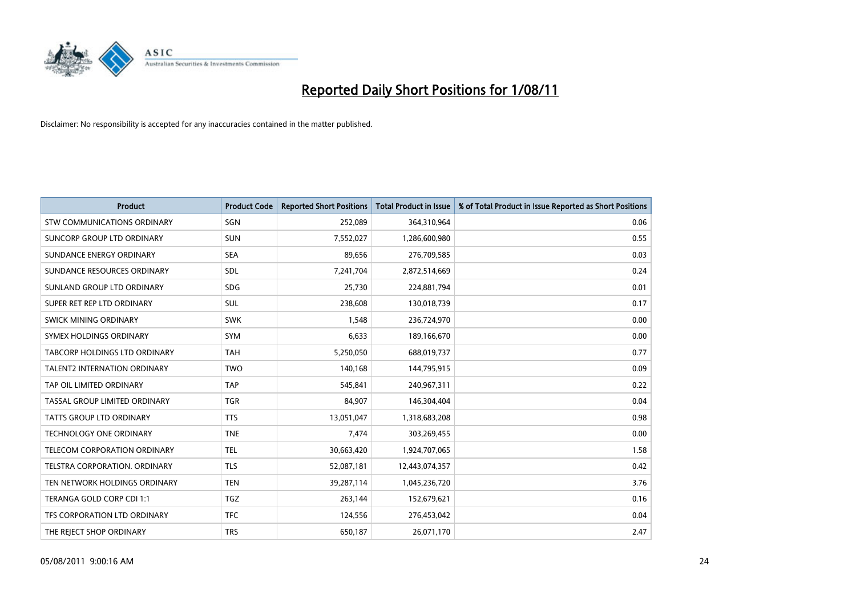

| <b>Product</b>                      | <b>Product Code</b> | <b>Reported Short Positions</b> | Total Product in Issue | % of Total Product in Issue Reported as Short Positions |
|-------------------------------------|---------------------|---------------------------------|------------------------|---------------------------------------------------------|
| <b>STW COMMUNICATIONS ORDINARY</b>  | SGN                 | 252,089                         | 364,310,964            | 0.06                                                    |
| SUNCORP GROUP LTD ORDINARY          | <b>SUN</b>          | 7,552,027                       | 1,286,600,980          | 0.55                                                    |
| SUNDANCE ENERGY ORDINARY            | <b>SEA</b>          | 89,656                          | 276,709,585            | 0.03                                                    |
| SUNDANCE RESOURCES ORDINARY         | <b>SDL</b>          | 7,241,704                       | 2,872,514,669          | 0.24                                                    |
| SUNLAND GROUP LTD ORDINARY          | <b>SDG</b>          | 25,730                          | 224,881,794            | 0.01                                                    |
| SUPER RET REP LTD ORDINARY          | <b>SUL</b>          | 238,608                         | 130,018,739            | 0.17                                                    |
| SWICK MINING ORDINARY               | <b>SWK</b>          | 1,548                           | 236,724,970            | 0.00                                                    |
| SYMEX HOLDINGS ORDINARY             | <b>SYM</b>          | 6,633                           | 189,166,670            | 0.00                                                    |
| TABCORP HOLDINGS LTD ORDINARY       | <b>TAH</b>          | 5,250,050                       | 688,019,737            | 0.77                                                    |
| <b>TALENT2 INTERNATION ORDINARY</b> | <b>TWO</b>          | 140,168                         | 144,795,915            | 0.09                                                    |
| TAP OIL LIMITED ORDINARY            | <b>TAP</b>          | 545,841                         | 240,967,311            | 0.22                                                    |
| TASSAL GROUP LIMITED ORDINARY       | <b>TGR</b>          | 84,907                          | 146,304,404            | 0.04                                                    |
| <b>TATTS GROUP LTD ORDINARY</b>     | <b>TTS</b>          | 13,051,047                      | 1,318,683,208          | 0.98                                                    |
| <b>TECHNOLOGY ONE ORDINARY</b>      | <b>TNE</b>          | 7,474                           | 303,269,455            | 0.00                                                    |
| <b>TELECOM CORPORATION ORDINARY</b> | <b>TEL</b>          | 30,663,420                      | 1,924,707,065          | 1.58                                                    |
| TELSTRA CORPORATION, ORDINARY       | <b>TLS</b>          | 52,087,181                      | 12,443,074,357         | 0.42                                                    |
| TEN NETWORK HOLDINGS ORDINARY       | <b>TEN</b>          | 39,287,114                      | 1,045,236,720          | 3.76                                                    |
| TERANGA GOLD CORP CDI 1:1           | <b>TGZ</b>          | 263,144                         | 152,679,621            | 0.16                                                    |
| TFS CORPORATION LTD ORDINARY        | <b>TFC</b>          | 124,556                         | 276,453,042            | 0.04                                                    |
| THE REJECT SHOP ORDINARY            | <b>TRS</b>          | 650,187                         | 26,071,170             | 2.47                                                    |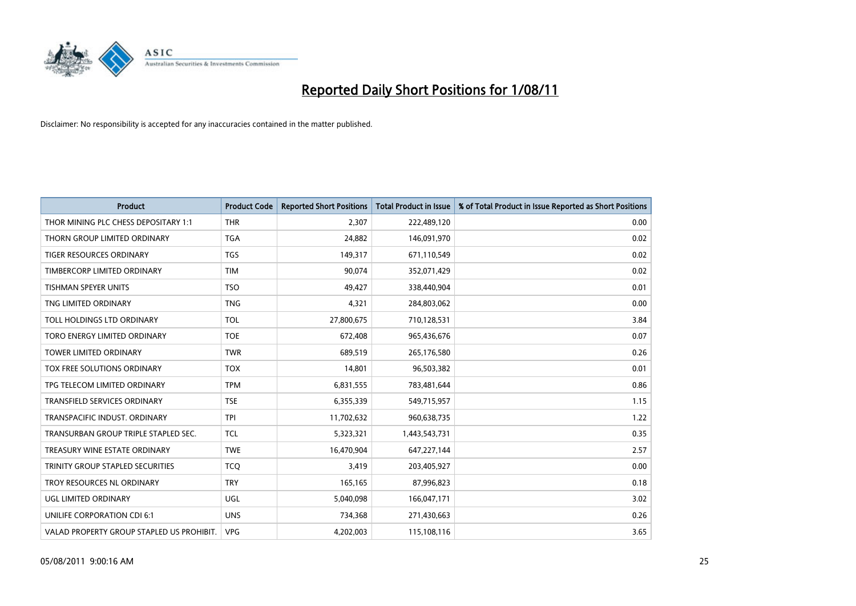

| <b>Product</b>                            | <b>Product Code</b> | <b>Reported Short Positions</b> | <b>Total Product in Issue</b> | % of Total Product in Issue Reported as Short Positions |
|-------------------------------------------|---------------------|---------------------------------|-------------------------------|---------------------------------------------------------|
| THOR MINING PLC CHESS DEPOSITARY 1:1      | <b>THR</b>          | 2,307                           | 222,489,120                   | 0.00                                                    |
| THORN GROUP LIMITED ORDINARY              | <b>TGA</b>          | 24,882                          | 146,091,970                   | 0.02                                                    |
| <b>TIGER RESOURCES ORDINARY</b>           | <b>TGS</b>          | 149,317                         | 671,110,549                   | 0.02                                                    |
| TIMBERCORP LIMITED ORDINARY               | <b>TIM</b>          | 90,074                          | 352,071,429                   | 0.02                                                    |
| <b>TISHMAN SPEYER UNITS</b>               | <b>TSO</b>          | 49,427                          | 338,440,904                   | 0.01                                                    |
| TNG LIMITED ORDINARY                      | <b>TNG</b>          | 4,321                           | 284,803,062                   | 0.00                                                    |
| TOLL HOLDINGS LTD ORDINARY                | <b>TOL</b>          | 27,800,675                      | 710,128,531                   | 3.84                                                    |
| TORO ENERGY LIMITED ORDINARY              | <b>TOE</b>          | 672,408                         | 965,436,676                   | 0.07                                                    |
| TOWER LIMITED ORDINARY                    | <b>TWR</b>          | 689,519                         | 265,176,580                   | 0.26                                                    |
| TOX FREE SOLUTIONS ORDINARY               | <b>TOX</b>          | 14,801                          | 96,503,382                    | 0.01                                                    |
| TPG TELECOM LIMITED ORDINARY              | <b>TPM</b>          | 6,831,555                       | 783,481,644                   | 0.86                                                    |
| <b>TRANSFIELD SERVICES ORDINARY</b>       | <b>TSE</b>          | 6,355,339                       | 549,715,957                   | 1.15                                                    |
| TRANSPACIFIC INDUST, ORDINARY             | <b>TPI</b>          | 11,702,632                      | 960,638,735                   | 1.22                                                    |
| TRANSURBAN GROUP TRIPLE STAPLED SEC.      | <b>TCL</b>          | 5,323,321                       | 1,443,543,731                 | 0.35                                                    |
| TREASURY WINE ESTATE ORDINARY             | <b>TWE</b>          | 16,470,904                      | 647,227,144                   | 2.57                                                    |
| TRINITY GROUP STAPLED SECURITIES          | <b>TCO</b>          | 3,419                           | 203,405,927                   | 0.00                                                    |
| TROY RESOURCES NL ORDINARY                | <b>TRY</b>          | 165,165                         | 87,996,823                    | 0.18                                                    |
| UGL LIMITED ORDINARY                      | UGL                 | 5,040,098                       | 166,047,171                   | 3.02                                                    |
| UNILIFE CORPORATION CDI 6:1               | <b>UNS</b>          | 734,368                         | 271,430,663                   | 0.26                                                    |
| VALAD PROPERTY GROUP STAPLED US PROHIBIT. | <b>VPG</b>          | 4,202,003                       | 115,108,116                   | 3.65                                                    |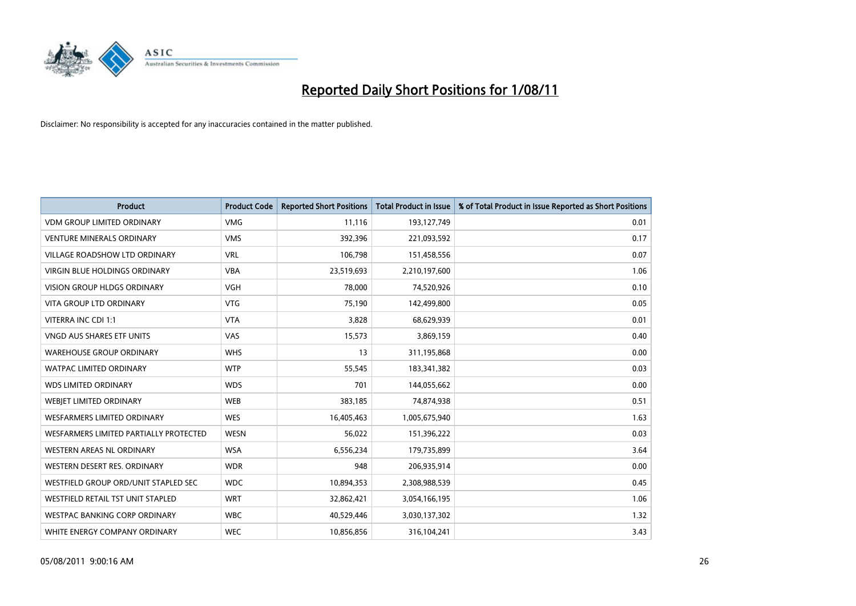

| <b>Product</b>                         | <b>Product Code</b> | <b>Reported Short Positions</b> | <b>Total Product in Issue</b> | % of Total Product in Issue Reported as Short Positions |
|----------------------------------------|---------------------|---------------------------------|-------------------------------|---------------------------------------------------------|
| <b>VDM GROUP LIMITED ORDINARY</b>      | <b>VMG</b>          | 11,116                          | 193,127,749                   | 0.01                                                    |
| <b>VENTURE MINERALS ORDINARY</b>       | <b>VMS</b>          | 392,396                         | 221,093,592                   | 0.17                                                    |
| <b>VILLAGE ROADSHOW LTD ORDINARY</b>   | <b>VRL</b>          | 106,798                         | 151,458,556                   | 0.07                                                    |
| VIRGIN BLUE HOLDINGS ORDINARY          | <b>VBA</b>          | 23,519,693                      | 2,210,197,600                 | 1.06                                                    |
| <b>VISION GROUP HLDGS ORDINARY</b>     | <b>VGH</b>          | 78.000                          | 74,520,926                    | 0.10                                                    |
| <b>VITA GROUP LTD ORDINARY</b>         | <b>VTG</b>          | 75,190                          | 142,499,800                   | 0.05                                                    |
| VITERRA INC CDI 1:1                    | <b>VTA</b>          | 3,828                           | 68,629,939                    | 0.01                                                    |
| <b>VNGD AUS SHARES ETF UNITS</b>       | VAS                 | 15,573                          | 3,869,159                     | 0.40                                                    |
| <b>WAREHOUSE GROUP ORDINARY</b>        | <b>WHS</b>          | 13                              | 311,195,868                   | 0.00                                                    |
| <b>WATPAC LIMITED ORDINARY</b>         | <b>WTP</b>          | 55,545                          | 183,341,382                   | 0.03                                                    |
| <b>WDS LIMITED ORDINARY</b>            | <b>WDS</b>          | 701                             | 144,055,662                   | 0.00                                                    |
| WEBJET LIMITED ORDINARY                | <b>WEB</b>          | 383,185                         | 74,874,938                    | 0.51                                                    |
| <b>WESFARMERS LIMITED ORDINARY</b>     | <b>WES</b>          | 16,405,463                      | 1,005,675,940                 | 1.63                                                    |
| WESFARMERS LIMITED PARTIALLY PROTECTED | <b>WESN</b>         | 56,022                          | 151,396,222                   | 0.03                                                    |
| WESTERN AREAS NL ORDINARY              | <b>WSA</b>          | 6,556,234                       | 179,735,899                   | 3.64                                                    |
| WESTERN DESERT RES. ORDINARY           | <b>WDR</b>          | 948                             | 206,935,914                   | 0.00                                                    |
| WESTFIELD GROUP ORD/UNIT STAPLED SEC   | <b>WDC</b>          | 10,894,353                      | 2,308,988,539                 | 0.45                                                    |
| WESTFIELD RETAIL TST UNIT STAPLED      | <b>WRT</b>          | 32,862,421                      | 3,054,166,195                 | 1.06                                                    |
| <b>WESTPAC BANKING CORP ORDINARY</b>   | <b>WBC</b>          | 40,529,446                      | 3,030,137,302                 | 1.32                                                    |
| WHITE ENERGY COMPANY ORDINARY          | <b>WEC</b>          | 10,856,856                      | 316,104,241                   | 3.43                                                    |